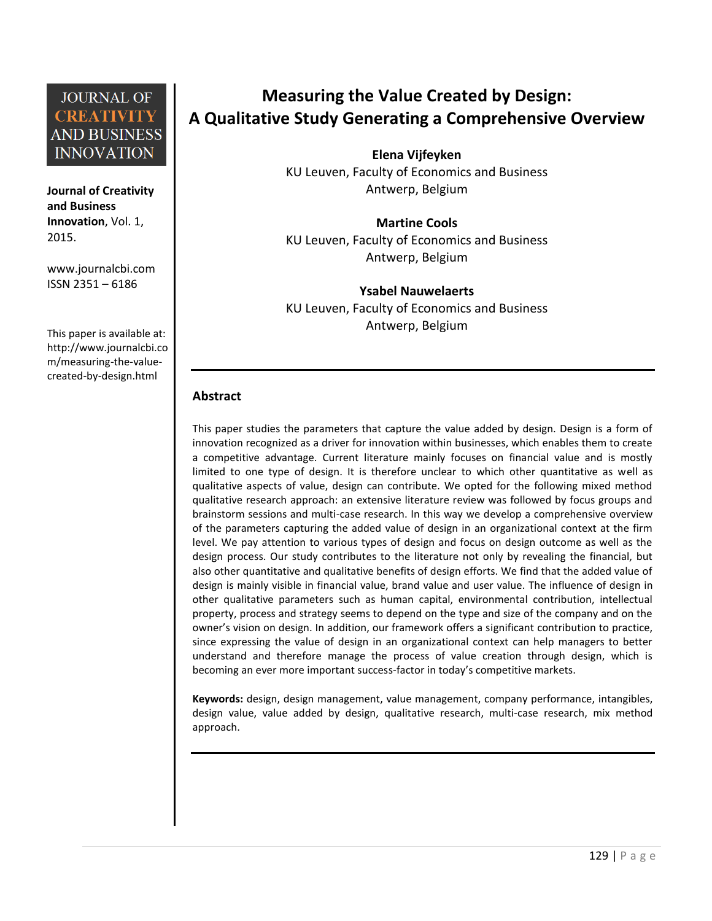**Journal of Creativity and Business Innovation**, Vol. 1, 2015.

[www.journalcbi.com](http://www.journalcbi.com/) ISSN 2351 – 6186

This paper is available at: [http://www.journalcbi.co](http://www.journalcbi.com/ideation-using-analogies.html) [m/measuring-the-value](http://www.journalcbi.com/ideation-using-analogies.html)[created-by-design.html](http://www.journalcbi.com/ideation-using-analogies.html)

# **Measuring the Value Created by Design: A Qualitative Study Generating a Comprehensive Overview**

**Elena Vijfeyken** KU Leuven, Faculty of Economics and Business Antwerp, Belgium

**Martine Cools** KU Leuven, Faculty of Economics and Business Antwerp, Belgium

**Ysabel Nauwelaerts** KU Leuven, Faculty of Economics and Business Antwerp, Belgium

#### **Abstract**

This paper studies the parameters that capture the value added by design. Design is a form of innovation recognized as a driver for innovation within businesses, which enables them to create a competitive advantage. Current literature mainly focuses on financial value and is mostly limited to one type of design. It is therefore unclear to which other quantitative as well as qualitative aspects of value, design can contribute. We opted for the following mixed method qualitative research approach: an extensive literature review was followed by focus groups and brainstorm sessions and multi-case research. In this way we develop a comprehensive overview of the parameters capturing the added value of design in an organizational context at the firm level. We pay attention to various types of design and focus on design outcome as well as the design process. Our study contributes to the literature not only by revealing the financial, but also other quantitative and qualitative benefits of design efforts. We find that the added value of design is mainly visible in financial value, brand value and user value. The influence of design in other qualitative parameters such as human capital, environmental contribution, intellectual property, process and strategy seems to depend on the type and size of the company and on the owner's vision on design. In addition, our framework offers a significant contribution to practice, since expressing the value of design in an organizational context can help managers to better understand and therefore manage the process of value creation through design, which is becoming an ever more important success-factor in today's competitive markets.

**Keywords:** design, design management, value management, company performance, intangibles, design value, value added by design, qualitative research, multi-case research, mix method approach.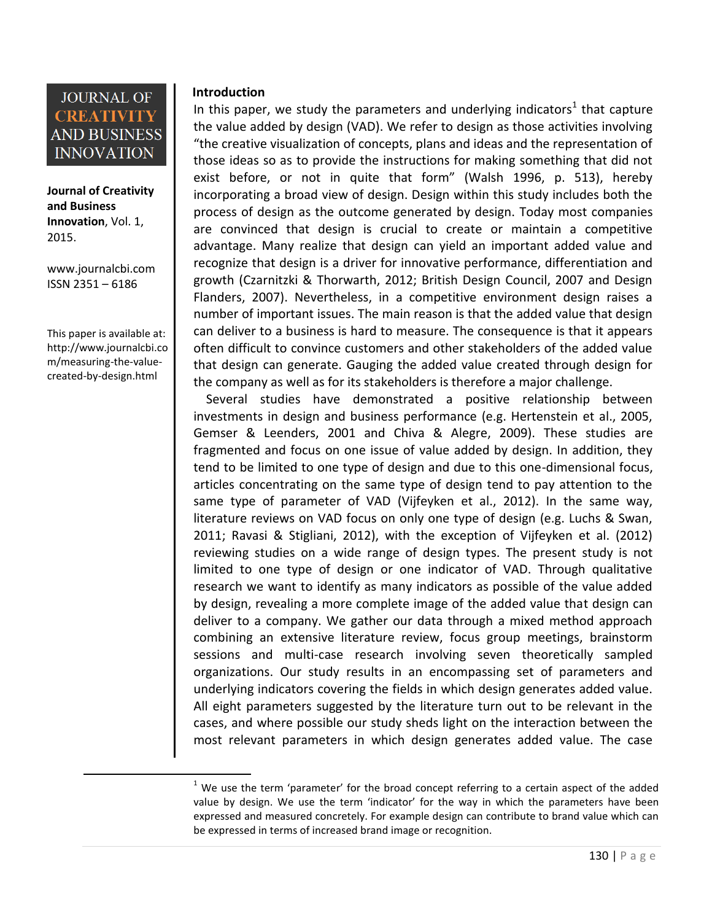

**Journal of Creativity and Business Innovation**, Vol. 1, 2015.

[www.journalcbi.com](http://www.journalcbi.com/) ISSN 2351 – 6186

This paper is available at: [http://www.journalcbi.co](http://www.journalcbi.com/ideation-using-analogies.html) [m/measuring-the-value](http://www.journalcbi.com/ideation-using-analogies.html)[created-by-design.html](http://www.journalcbi.com/ideation-using-analogies.html) 

 $\overline{a}$ 

#### **Introduction**

In this paper, we study the parameters and underlying indicators<sup>1</sup> that capture the value added by design (VAD). We refer to design as those activities involving "the creative visualization of concepts, plans and ideas and the representation of those ideas so as to provide the instructions for making something that did not exist before, or not in quite that form" (Walsh 1996, p. 513), hereby incorporating a broad view of design. Design within this study includes both the process of design as the outcome generated by design. Today most companies are convinced that design is crucial to create or maintain a competitive advantage. Many realize that design can yield an important added value and recognize that design is a driver for innovative performance, differentiation and growth (Czarnitzki & Thorwarth, 2012; British Design Council, 2007 and Design Flanders, 2007). Nevertheless, in a competitive environment design raises a number of important issues. The main reason is that the added value that design can deliver to a business is hard to measure. The consequence is that it appears often difficult to convince customers and other stakeholders of the added value that design can generate. Gauging the added value created through design for the company as well as for its stakeholders is therefore a major challenge.

 Several studies have demonstrated a positive relationship between investments in design and business performance (e.g. Hertenstein et al., 2005, Gemser & Leenders, 2001 and Chiva & Alegre, 2009). These studies are fragmented and focus on one issue of value added by design. In addition, they tend to be limited to one type of design and due to this one-dimensional focus, articles concentrating on the same type of design tend to pay attention to the same type of parameter of VAD (Vijfeyken et al., 2012). In the same way, literature reviews on VAD focus on only one type of design (e.g. Luchs & Swan, 2011; Ravasi & Stigliani, 2012), with the exception of Vijfeyken et al. (2012) reviewing studies on a wide range of design types. The present study is not limited to one type of design or one indicator of VAD. Through qualitative research we want to identify as many indicators as possible of the value added by design, revealing a more complete image of the added value that design can deliver to a company. We gather our data through a mixed method approach combining an extensive literature review, focus group meetings, brainstorm sessions and multi-case research involving seven theoretically sampled organizations. Our study results in an encompassing set of parameters and underlying indicators covering the fields in which design generates added value. All eight parameters suggested by the literature turn out to be relevant in the cases, and where possible our study sheds light on the interaction between the most relevant parameters in which design generates added value. The case

 $1$  We use the term 'parameter' for the broad concept referring to a certain aspect of the added value by design. We use the term 'indicator' for the way in which the parameters have been expressed and measured concretely. For example design can contribute to brand value which can be expressed in terms of increased brand image or recognition.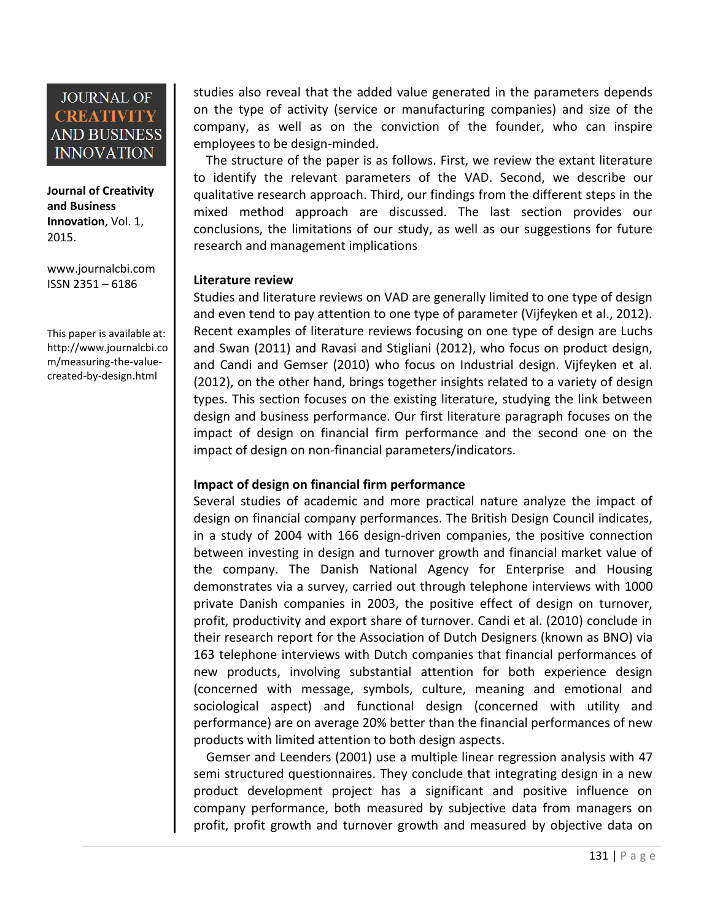**Journal of Creativity and Business Innovation**, Vol. 1, 2015.

[www.journalcbi.com](http://www.journalcbi.com/) ISSN 2351 – 6186

This paper is available at: [http://www.journalcbi.co](http://www.journalcbi.com/ideation-using-analogies.html) [m/measuring-the-value](http://www.journalcbi.com/ideation-using-analogies.html)[created-by-design.html](http://www.journalcbi.com/ideation-using-analogies.html) 

studies also reveal that the added value generated in the parameters depends on the type of activity (service or manufacturing companies) and size of the company, as well as on the conviction of the founder, who can inspire employees to be design-minded.

 The structure of the paper is as follows. First, we review the extant literature to identify the relevant parameters of the VAD. Second, we describe our qualitative research approach. Third, our findings from the different steps in the mixed method approach are discussed. The last section provides our conclusions, the limitations of our study, as well as our suggestions for future research and management implications

#### **1 Literature review**

Studies and literature reviews on VAD are generally limited to one type of design and even tend to pay attention to one type of parameter (Vijfeyken et al., 2012). Recent examples of literature reviews focusing on one type of design are Luchs and Swan (2011) and Ravasi and Stigliani (2012), who focus on product design, and Candi and Gemser (2010) who focus on Industrial design. Vijfeyken et al. (2012), on the other hand, brings together insights related to a variety of design types. This section focuses on the existing literature, studying the link between design and business performance. Our first literature paragraph focuses on the impact of design on financial firm performance and the second one on the impact of design on non-financial parameters/indicators.

#### **Impact of design on financial firm performance**

Several studies of academic and more practical nature analyze the impact of design on financial company performances. The British Design Council indicates, in a study of 2004 with 166 design-driven companies, the positive connection between investing in design and turnover growth and financial market value of the company. The Danish National Agency for Enterprise and Housing demonstrates via a survey, carried out through telephone interviews with 1000 private Danish companies in 2003, the positive effect of design on turnover, profit, productivity and export share of turnover. Candi et al. (2010) conclude in their research report for the Association of Dutch Designers (known as BNO) via 163 telephone interviews with Dutch companies that financial performances of new products, involving substantial attention for both experience design (concerned with message, symbols, culture, meaning and emotional and sociological aspect) and functional design (concerned with utility and performance) are on average 20% better than the financial performances of new products with limited attention to both design aspects.

 Gemser and Leenders (2001) use a multiple linear regression analysis with 47 semi structured questionnaires. They conclude that integrating design in a new product development project has a significant and positive influence on company performance, both measured by subjective data from managers on profit, profit growth and turnover growth and measured by objective data on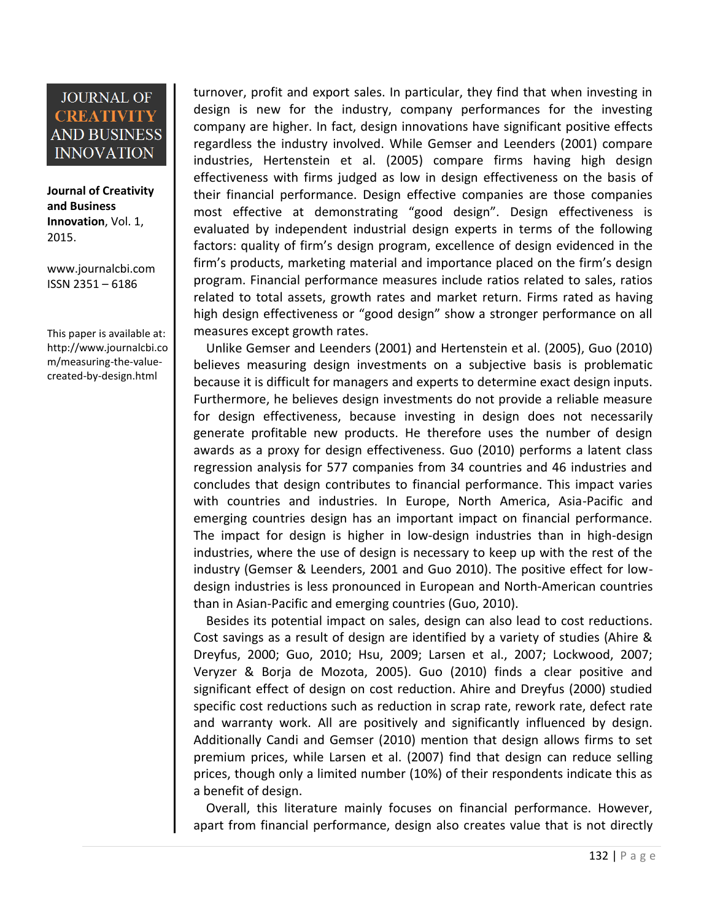**Journal of Creativity and Business Innovation**, Vol. 1, 2015.

[www.journalcbi.com](http://www.journalcbi.com/) ISSN 2351 – 6186

This paper is available at: [http://www.journalcbi.co](http://www.journalcbi.com/ideation-using-analogies.html) [m/measuring-the-value](http://www.journalcbi.com/ideation-using-analogies.html)[created-by-design.html](http://www.journalcbi.com/ideation-using-analogies.html) 

turnover, profit and export sales. In particular, they find that when investing in design is new for the industry, company performances for the investing company are higher. In fact, design innovations have significant positive effects regardless the industry involved. While Gemser and Leenders (2001) compare industries, Hertenstein et al. (2005) compare firms having high design effectiveness with firms judged as low in design effectiveness on the basis of their financial performance. Design effective companies are those companies most effective at demonstrating "good design". Design effectiveness is evaluated by independent industrial design experts in terms of the following factors: quality of firm's design program, excellence of design evidenced in the firm's products, marketing material and importance placed on the firm's design program. Financial performance measures include ratios related to sales, ratios related to total assets, growth rates and market return. Firms rated as having high design effectiveness or "good design" show a stronger performance on all measures except growth rates.

 Unlike Gemser and Leenders (2001) and Hertenstein et al. (2005), Guo (2010) believes measuring design investments on a subjective basis is problematic because it is difficult for managers and experts to determine exact design inputs. Furthermore, he believes design investments do not provide a reliable measure for design effectiveness, because investing in design does not necessarily generate profitable new products. He therefore uses the number of design awards as a proxy for design effectiveness. Guo (2010) performs a latent class regression analysis for 577 companies from 34 countries and 46 industries and concludes that design contributes to financial performance. This impact varies with countries and industries. In Europe, North America, Asia-Pacific and emerging countries design has an important impact on financial performance. The impact for design is higher in low-design industries than in high-design industries, where the use of design is necessary to keep up with the rest of the industry (Gemser & Leenders, 2001 and Guo 2010). The positive effect for lowdesign industries is less pronounced in European and North-American countries than in Asian-Pacific and emerging countries (Guo, 2010).

 Besides its potential impact on sales, design can also lead to cost reductions. Cost savings as a result of design are identified by a variety of studies (Ahire & Dreyfus, 2000; Guo, 2010; Hsu, 2009; Larsen et al., 2007; Lockwood, 2007; Veryzer & Borja de Mozota, 2005). Guo (2010) finds a clear positive and significant effect of design on cost reduction. Ahire and Dreyfus (2000) studied specific cost reductions such as reduction in scrap rate, rework rate, defect rate and warranty work. All are positively and significantly influenced by design. Additionally Candi and Gemser (2010) mention that design allows firms to set premium prices, while Larsen et al. (2007) find that design can reduce selling prices, though only a limited number (10%) of their respondents indicate this as a benefit of design.

Overall, this literature mainly focuses on financial performance. However, apart from financial performance, design also creates value that is not directly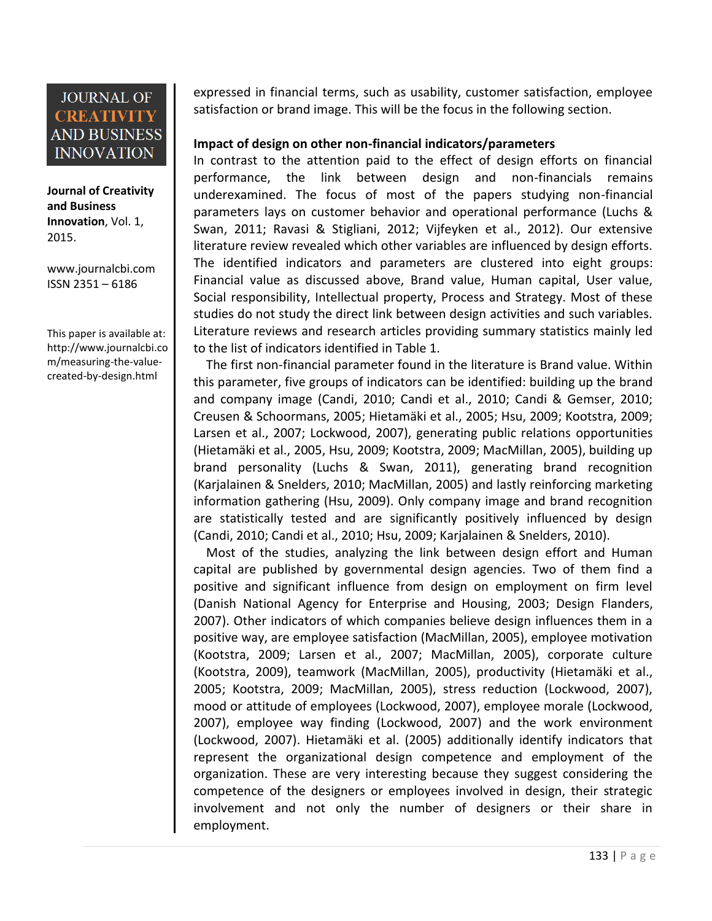**Journal of Creativity and Business Innovation**, Vol. 1, 2015.

[www.journalcbi.com](http://www.journalcbi.com/) ISSN 2351 – 6186

This paper is available at: [http://www.journalcbi.co](http://www.journalcbi.com/ideation-using-analogies.html) [m/measuring-the-value](http://www.journalcbi.com/ideation-using-analogies.html)[created-by-design.html](http://www.journalcbi.com/ideation-using-analogies.html) 

expressed in financial terms, such as usability, customer satisfaction, employee satisfaction or brand image. This will be the focus in the following section.

#### **Impact of design on other non-financial indicators/parameters**

In contrast to the attention paid to the effect of design efforts on financial performance, the link between design and non-financials remains underexamined. The focus of most of the papers studying non-financial parameters lays on customer behavior and operational performance (Luchs & Swan, 2011; Ravasi & Stigliani, 2012; Vijfeyken et al., 2012). Our extensive literature review revealed which other variables are influenced by design efforts. The identified indicators and parameters are clustered into eight groups: Financial value as discussed above, Brand value, Human capital, User value, Social responsibility, Intellectual property, Process and Strategy. Most of these studies do not study the direct link between design activities and such variables. Literature reviews and research articles providing summary statistics mainly led to the list of indicators identified in Table 1.

 The first non-financial parameter found in the literature is Brand value. Within this parameter, five groups of indicators can be identified: building up the brand and company image (Candi, 2010; Candi et al., 2010; Candi & Gemser, 2010; Creusen & Schoormans, 2005; Hietamäki et al., 2005; Hsu, 2009; Kootstra, 2009; Larsen et al., 2007; Lockwood, 2007), generating public relations opportunities (Hietamäki et al., 2005, Hsu, 2009; Kootstra, 2009; MacMillan, 2005), building up brand personality (Luchs & Swan, 2011), generating brand recognition (Karjalainen & Snelders, 2010; MacMillan, 2005) and lastly reinforcing marketing information gathering (Hsu, 2009). Only company image and brand recognition are statistically tested and are significantly positively influenced by design (Candi, 2010; Candi et al., 2010; Hsu, 2009; Karjalainen & Snelders, 2010).

 Most of the studies, analyzing the link between design effort and Human capital are published by governmental design agencies. Two of them find a positive and significant influence from design on employment on firm level (Danish National Agency for Enterprise and Housing, 2003; Design Flanders, 2007). Other indicators of which companies believe design influences them in a positive way, are employee satisfaction (MacMillan, 2005), employee motivation (Kootstra, 2009; Larsen et al., 2007; MacMillan, 2005), corporate culture (Kootstra, 2009), teamwork (MacMillan, 2005), productivity (Hietamäki et al., 2005; Kootstra, 2009; MacMillan, 2005), stress reduction (Lockwood, 2007), mood or attitude of employees (Lockwood, 2007), employee morale (Lockwood, 2007), employee way finding (Lockwood, 2007) and the work environment (Lockwood, 2007). Hietamäki et al. (2005) additionally identify indicators that represent the organizational design competence and employment of the organization. These are very interesting because they suggest considering the competence of the designers or employees involved in design, their strategic involvement and not only the number of designers or their share in employment.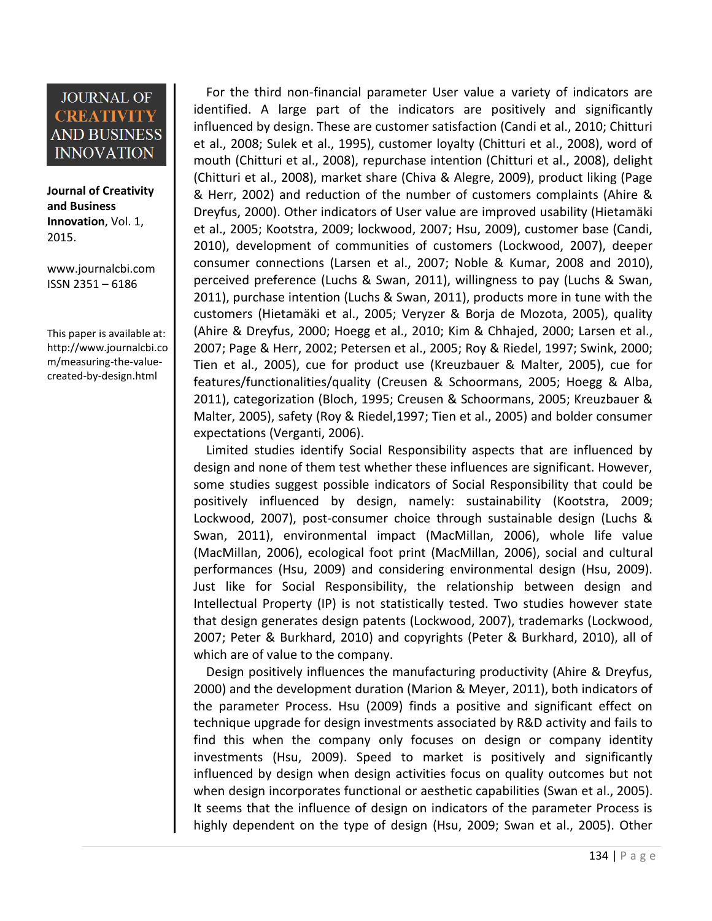**Journal of Creativity and Business Innovation**, Vol. 1, 2015.

[www.journalcbi.com](http://www.journalcbi.com/) ISSN 2351 – 6186

This paper is available at: [http://www.journalcbi.co](http://www.journalcbi.com/ideation-using-analogies.html) [m/measuring-the-value](http://www.journalcbi.com/ideation-using-analogies.html)[created-by-design.html](http://www.journalcbi.com/ideation-using-analogies.html) 

 For the third non-financial parameter User value a variety of indicators are identified. A large part of the indicators are positively and significantly influenced by design. These are customer satisfaction (Candi et al., 2010; Chitturi et al., 2008; Sulek et al., 1995), customer loyalty (Chitturi et al., 2008), word of mouth (Chitturi et al., 2008), repurchase intention (Chitturi et al., 2008), delight (Chitturi et al., 2008), market share (Chiva & Alegre, 2009), product liking (Page & Herr, 2002) and reduction of the number of customers complaints (Ahire & Dreyfus, 2000). Other indicators of User value are improved usability (Hietamäki et al., 2005; Kootstra, 2009; lockwood, 2007; Hsu, 2009), customer base (Candi, 2010), development of communities of customers (Lockwood, 2007), deeper consumer connections (Larsen et al., 2007; Noble & Kumar, 2008 and 2010), perceived preference (Luchs & Swan, 2011), willingness to pay (Luchs & Swan, 2011), purchase intention (Luchs & Swan, 2011), products more in tune with the customers (Hietamäki et al., 2005; Veryzer & Borja de Mozota, 2005), quality (Ahire & Dreyfus, 2000; Hoegg et al., 2010; Kim & Chhajed, 2000; Larsen et al., 2007; Page & Herr, 2002; Petersen et al., 2005; Roy & Riedel, 1997; Swink, 2000; Tien et al., 2005), cue for product use (Kreuzbauer & Malter, 2005), cue for features/functionalities/quality (Creusen & Schoormans, 2005; Hoegg & Alba, 2011), categorization (Bloch, 1995; Creusen & Schoormans, 2005; Kreuzbauer & Malter, 2005), safety (Roy & Riedel,1997; Tien et al., 2005) and bolder consumer expectations (Verganti, 2006).

 Limited studies identify Social Responsibility aspects that are influenced by design and none of them test whether these influences are significant. However, some studies suggest possible indicators of Social Responsibility that could be positively influenced by design, namely: sustainability (Kootstra, 2009; Lockwood, 2007), post-consumer choice through sustainable design (Luchs & Swan, 2011), environmental impact (MacMillan, 2006), whole life value (MacMillan, 2006), ecological foot print (MacMillan, 2006), social and cultural performances (Hsu, 2009) and considering environmental design (Hsu, 2009). Just like for Social Responsibility, the relationship between design and Intellectual Property (IP) is not statistically tested. Two studies however state that design generates design patents (Lockwood, 2007), trademarks (Lockwood, 2007; Peter & Burkhard, 2010) and copyrights (Peter & Burkhard, 2010), all of which are of value to the company.

 Design positively influences the manufacturing productivity (Ahire & Dreyfus, 2000) and the development duration (Marion & Meyer, 2011), both indicators of the parameter Process. Hsu (2009) finds a positive and significant effect on technique upgrade for design investments associated by R&D activity and fails to find this when the company only focuses on design or company identity investments (Hsu, 2009). Speed to market is positively and significantly influenced by design when design activities focus on quality outcomes but not when design incorporates functional or aesthetic capabilities (Swan et al., 2005). It seems that the influence of design on indicators of the parameter Process is highly dependent on the type of design (Hsu, 2009; Swan et al., 2005). Other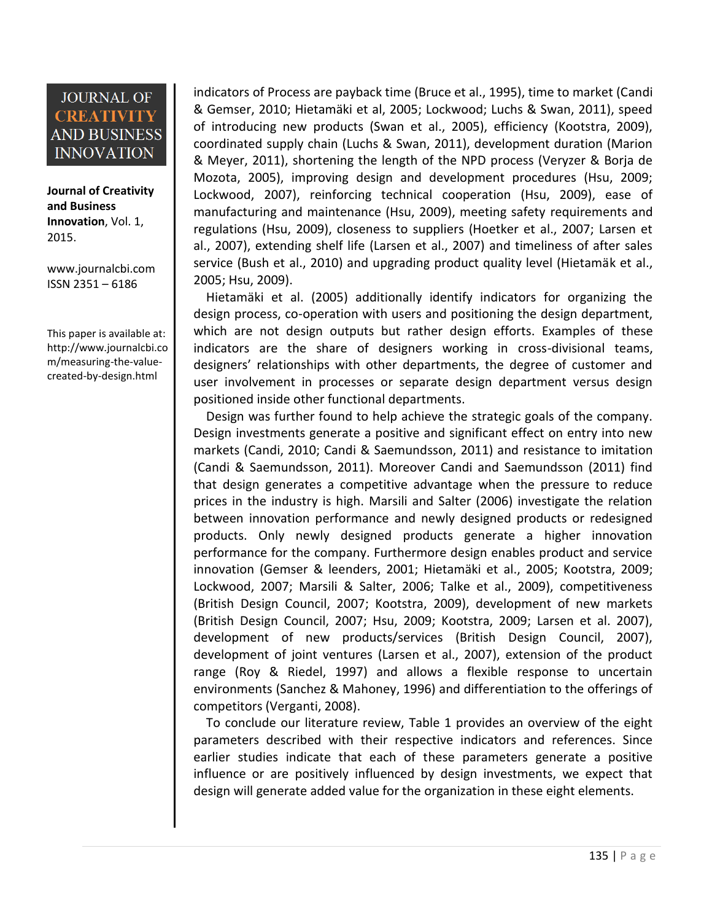**Journal of Creativity and Business Innovation**, Vol. 1, 2015.

[www.journalcbi.com](http://www.journalcbi.com/) ISSN 2351 – 6186

This paper is available at: [http://www.journalcbi.co](http://www.journalcbi.com/ideation-using-analogies.html) [m/measuring-the-value](http://www.journalcbi.com/ideation-using-analogies.html)[created-by-design.html](http://www.journalcbi.com/ideation-using-analogies.html) 

indicators of Process are payback time (Bruce et al., 1995), time to market (Candi & Gemser, 2010; Hietamäki et al, 2005; Lockwood; Luchs & Swan, 2011), speed of introducing new products (Swan et al., 2005), efficiency (Kootstra, 2009), coordinated supply chain (Luchs & Swan, 2011), development duration (Marion & Meyer, 2011), shortening the length of the NPD process (Veryzer & Borja de Mozota, 2005), improving design and development procedures (Hsu, 2009; Lockwood, 2007), reinforcing technical cooperation (Hsu, 2009), ease of manufacturing and maintenance (Hsu, 2009), meeting safety requirements and regulations (Hsu, 2009), closeness to suppliers (Hoetker et al., 2007; Larsen et al., 2007), extending shelf life (Larsen et al., 2007) and timeliness of after sales service (Bush et al., 2010) and upgrading product quality level (Hietamäk et al., 2005; Hsu, 2009).

 Hietamäki et al. (2005) additionally identify indicators for organizing the design process, co-operation with users and positioning the design department, which are not design outputs but rather design efforts. Examples of these indicators are the share of designers working in cross-divisional teams, designers' relationships with other departments, the degree of customer and user involvement in processes or separate design department versus design positioned inside other functional departments.

 Design was further found to help achieve the strategic goals of the company. Design investments generate a positive and significant effect on entry into new markets (Candi, 2010; Candi & Saemundsson, 2011) and resistance to imitation (Candi & Saemundsson, 2011). Moreover Candi and Saemundsson (2011) find that design generates a competitive advantage when the pressure to reduce prices in the industry is high. Marsili and Salter (2006) investigate the relation between innovation performance and newly designed products or redesigned products. Only newly designed products generate a higher innovation performance for the company. Furthermore design enables product and service innovation (Gemser & leenders, 2001; Hietamäki et al., 2005; Kootstra, 2009; Lockwood, 2007; Marsili & Salter, 2006; Talke et al., 2009), competitiveness (British Design Council, 2007; Kootstra, 2009), development of new markets (British Design Council, 2007; Hsu, 2009; Kootstra, 2009; Larsen et al. 2007), development of new products/services (British Design Council, 2007), development of joint ventures (Larsen et al., 2007), extension of the product range (Roy & Riedel, 1997) and allows a flexible response to uncertain environments (Sanchez & Mahoney, 1996) and differentiation to the offerings of competitors (Verganti, 2008).

 To conclude our literature review, Table 1 provides an overview of the eight parameters described with their respective indicators and references. Since earlier studies indicate that each of these parameters generate a positive influence or are positively influenced by design investments, we expect that design will generate added value for the organization in these eight elements.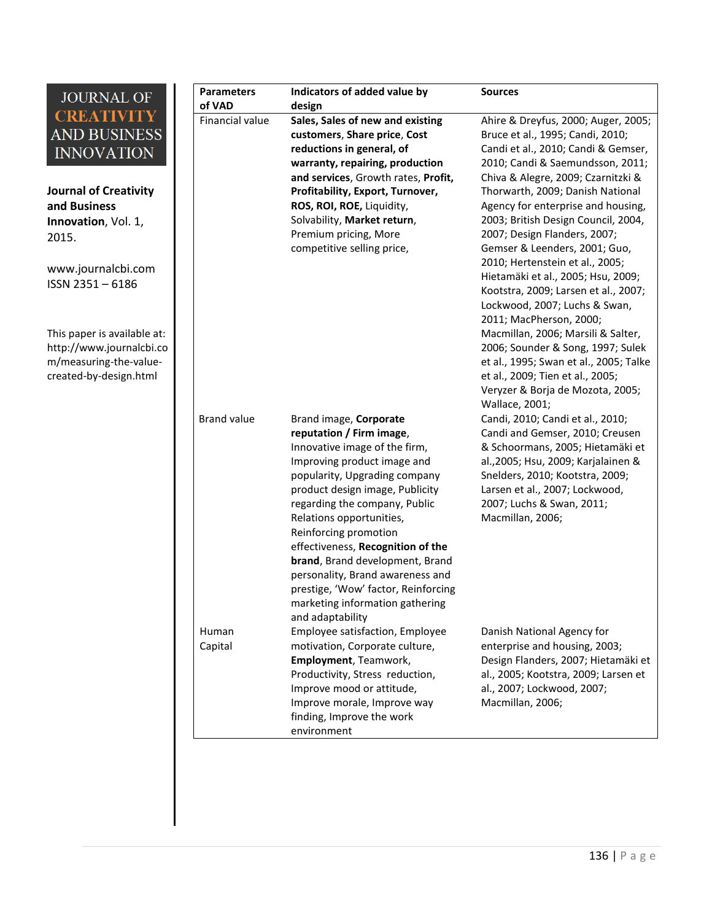| <b>JOURNAL OF</b>                                                                                           | <b>Parameters</b><br>of VAD | Indicators of added value by<br>design                                                                                                                                                                                                                                                                                                                                                                                          | <b>Sources</b>                                                                                                                                                                                                                                                       |
|-------------------------------------------------------------------------------------------------------------|-----------------------------|---------------------------------------------------------------------------------------------------------------------------------------------------------------------------------------------------------------------------------------------------------------------------------------------------------------------------------------------------------------------------------------------------------------------------------|----------------------------------------------------------------------------------------------------------------------------------------------------------------------------------------------------------------------------------------------------------------------|
| <b>CREATIVITY</b><br><b>AND BUSINESS</b><br><b>INNOVATION</b>                                               | Financial value             | Sales, Sales of new and existing<br>customers, Share price, Cost<br>reductions in general, of<br>warranty, repairing, production                                                                                                                                                                                                                                                                                                | Ahire & Dreyfus, 2000; Auger, 2005;<br>Bruce et al., 1995; Candi, 2010;<br>Candi et al., 2010; Candi & Gemser,<br>2010; Candi & Saemundsson, 2011;                                                                                                                   |
| <b>Journal of Creativity</b><br>and Business<br>Innovation, Vol. 1,<br>2015.                                |                             | and services, Growth rates, Profit,<br>Profitability, Export, Turnover,<br>ROS, ROI, ROE, Liquidity,<br>Solvability, Market return,<br>Premium pricing, More<br>competitive selling price,                                                                                                                                                                                                                                      | Chiva & Alegre, 2009; Czarnitzki &<br>Thorwarth, 2009; Danish National<br>Agency for enterprise and housing,<br>2003; British Design Council, 2004,<br>2007; Design Flanders, 2007;<br>Gemser & Leenders, 2001; Guo,                                                 |
| www.journalcbi.com<br>ISSN 2351-6186                                                                        |                             |                                                                                                                                                                                                                                                                                                                                                                                                                                 | 2010; Hertenstein et al., 2005;<br>Hietamäki et al., 2005; Hsu, 2009;<br>Kootstra, 2009; Larsen et al., 2007;<br>Lockwood, 2007; Luchs & Swan,<br>2011; MacPherson, 2000;                                                                                            |
| This paper is available at:<br>http://www.journalcbi.co<br>m/measuring-the-value-<br>created-by-design.html |                             |                                                                                                                                                                                                                                                                                                                                                                                                                                 | Macmillan, 2006; Marsili & Salter,<br>2006; Sounder & Song, 1997; Sulek<br>et al., 1995; Swan et al., 2005; Talke<br>et al., 2009; Tien et al., 2005;<br>Veryzer & Borja de Mozota, 2005;<br>Wallace, 2001;                                                          |
|                                                                                                             | <b>Brand value</b>          | Brand image, Corporate<br>reputation / Firm image,<br>Innovative image of the firm,<br>Improving product image and<br>popularity, Upgrading company<br>product design image, Publicity<br>regarding the company, Public<br>Relations opportunities,<br>Reinforcing promotion<br>effectiveness, Recognition of the<br>brand, Brand development, Brand<br>personality, Brand awareness and<br>prestige, 'Wow' factor, Reinforcing | Candi, 2010; Candi et al., 2010;<br>Candi and Gemser, 2010; Creusen<br>& Schoormans, 2005; Hietamäki et<br>al., 2005; Hsu, 2009; Karjalainen &<br>Snelders, 2010; Kootstra, 2009;<br>Larsen et al., 2007; Lockwood,<br>2007; Luchs & Swan, 2011;<br>Macmillan, 2006; |
|                                                                                                             | Human<br>Capital            | marketing information gathering<br>and adaptability<br>Employee satisfaction, Employee<br>motivation, Corporate culture,<br>Employment, Teamwork,<br>Productivity, Stress reduction,<br>Improve mood or attitude,<br>Improve morale, Improve way<br>finding, Improve the work<br>environment                                                                                                                                    | Danish National Agency for<br>enterprise and housing, 2003;<br>Design Flanders, 2007; Hietamäki et<br>al., 2005; Kootstra, 2009; Larsen et<br>al., 2007; Lockwood, 2007;<br>Macmillan, 2006;                                                                         |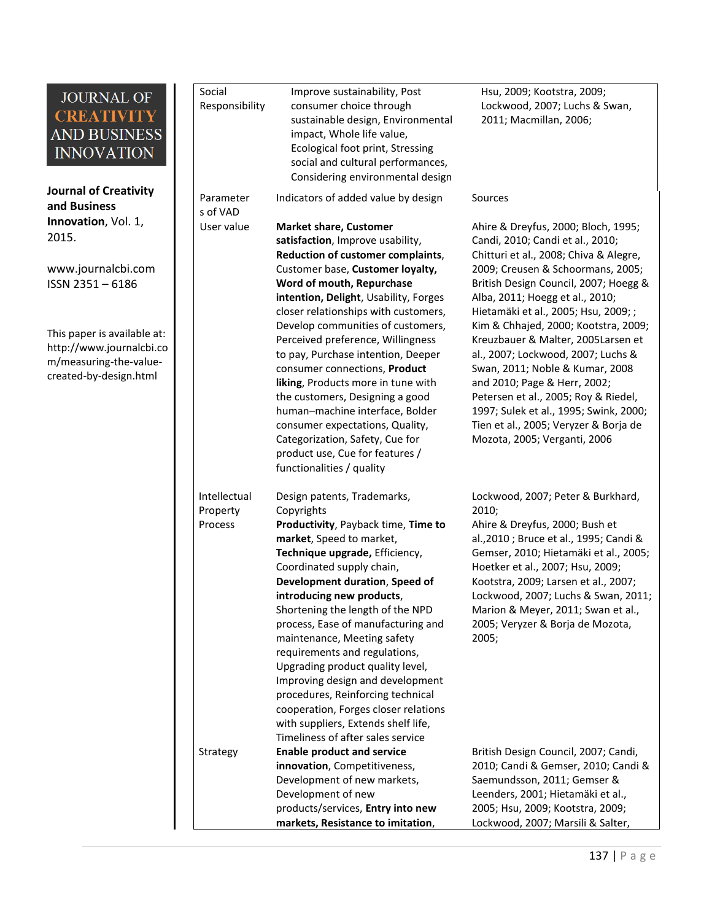**Journal of Creativity and Business Innovation**, Vol. 1, 2015.

[www.journalcbi.com](http://www.journalcbi.com/) ISSN 2351 – 6186

This paper is available at: [http://www.journalcbi.co](http://www.journalcbi.com/ideation-using-analogies.html) [m/measuring-the-value](http://www.journalcbi.com/ideation-using-analogies.html)[created-by-design.html](http://www.journalcbi.com/ideation-using-analogies.html) 

| Social<br>Responsibility            | Improve sustainability, Post<br>consumer choice through<br>sustainable design, Environmental<br>impact, Whole life value,<br>Ecological foot print, Stressing<br>social and cultural performances,<br>Considering environmental design                                                                                                                                                                                                                                                                                                                                                                                                                      | Hsu, 2009; Kootstra, 2009;<br>Lockwood, 2007; Luchs & Swan,<br>2011; Macmillan, 2006;                                                                                                                                                                                                                                                                                                                                                                                                                                                                                                                                        |
|-------------------------------------|-------------------------------------------------------------------------------------------------------------------------------------------------------------------------------------------------------------------------------------------------------------------------------------------------------------------------------------------------------------------------------------------------------------------------------------------------------------------------------------------------------------------------------------------------------------------------------------------------------------------------------------------------------------|------------------------------------------------------------------------------------------------------------------------------------------------------------------------------------------------------------------------------------------------------------------------------------------------------------------------------------------------------------------------------------------------------------------------------------------------------------------------------------------------------------------------------------------------------------------------------------------------------------------------------|
| Parameter<br>s of VAD               | Indicators of added value by design                                                                                                                                                                                                                                                                                                                                                                                                                                                                                                                                                                                                                         | Sources                                                                                                                                                                                                                                                                                                                                                                                                                                                                                                                                                                                                                      |
| User value                          | <b>Market share, Customer</b><br>satisfaction, Improve usability,<br>Reduction of customer complaints,<br>Customer base, Customer loyalty,<br>Word of mouth, Repurchase<br>intention, Delight, Usability, Forges<br>closer relationships with customers,<br>Develop communities of customers,<br>Perceived preference, Willingness<br>to pay, Purchase intention, Deeper<br>consumer connections, Product<br>liking, Products more in tune with<br>the customers, Designing a good<br>human-machine interface, Bolder<br>consumer expectations, Quality,<br>Categorization, Safety, Cue for<br>product use, Cue for features /<br>functionalities / quality | Ahire & Dreyfus, 2000; Bloch, 1995;<br>Candi, 2010; Candi et al., 2010;<br>Chitturi et al., 2008; Chiva & Alegre,<br>2009; Creusen & Schoormans, 2005;<br>British Design Council, 2007; Hoegg &<br>Alba, 2011; Hoegg et al., 2010;<br>Hietamäki et al., 2005; Hsu, 2009; ;<br>Kim & Chhajed, 2000; Kootstra, 2009;<br>Kreuzbauer & Malter, 2005Larsen et<br>al., 2007; Lockwood, 2007; Luchs &<br>Swan, 2011; Noble & Kumar, 2008<br>and 2010; Page & Herr, 2002;<br>Petersen et al., 2005; Roy & Riedel,<br>1997; Sulek et al., 1995; Swink, 2000;<br>Tien et al., 2005; Veryzer & Borja de<br>Mozota, 2005; Verganti, 2006 |
| Intellectual<br>Property<br>Process | Design patents, Trademarks,<br>Copyrights<br>Productivity, Payback time, Time to<br>market, Speed to market,<br>Technique upgrade, Efficiency,<br>Coordinated supply chain,<br>Development duration, Speed of<br>introducing new products,<br>Shortening the length of the NPD<br>process, Ease of manufacturing and<br>maintenance, Meeting safety<br>requirements and regulations,<br>Upgrading product quality level,<br>Improving design and development<br>procedures, Reinforcing technical<br>cooperation, Forges closer relations<br>with suppliers, Extends shelf life,<br>Timeliness of after sales service                                       | Lockwood, 2007; Peter & Burkhard,<br>2010;<br>Ahire & Dreyfus, 2000; Bush et<br>al., 2010 ; Bruce et al., 1995; Candi &<br>Gemser, 2010; Hietamäki et al., 2005;<br>Hoetker et al., 2007; Hsu, 2009;<br>Kootstra, 2009; Larsen et al., 2007;<br>Lockwood, 2007; Luchs & Swan, 2011;<br>Marion & Meyer, 2011; Swan et al.,<br>2005; Veryzer & Borja de Mozota,<br>2005;                                                                                                                                                                                                                                                       |
| Strategy                            | <b>Enable product and service</b><br>innovation, Competitiveness,<br>Development of new markets,<br>Development of new<br>products/services, Entry into new<br>markets, Resistance to imitation,                                                                                                                                                                                                                                                                                                                                                                                                                                                            | British Design Council, 2007; Candi,<br>2010; Candi & Gemser, 2010; Candi &<br>Saemundsson, 2011; Gemser &<br>Leenders, 2001; Hietamäki et al.,<br>2005; Hsu, 2009; Kootstra, 2009;<br>Lockwood, 2007; Marsili & Salter,                                                                                                                                                                                                                                                                                                                                                                                                     |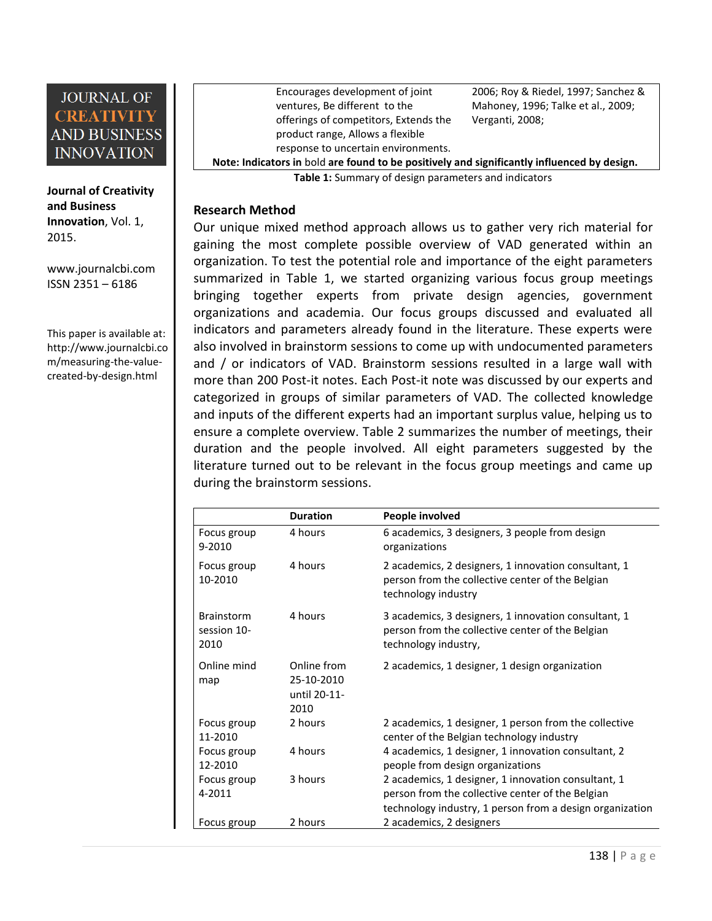

**Journal of Creativity and Business Innovation**, Vol. 1, 2015.

**2**

[www.journalcbi.com](http://www.journalcbi.com/) ISSN 2351 – 6186

This paper is available at: [http://www.journalcbi.co](http://www.journalcbi.com/ideation-using-analogies.html) [m/measuring-the-value](http://www.journalcbi.com/ideation-using-analogies.html)[created-by-design.html](http://www.journalcbi.com/ideation-using-analogies.html) 

Encourages development of joint ventures, Be different to the offerings of competitors, Extends the product range, Allows a flexible response to uncertain environments. 2006; Roy & Riedel, 1997; Sanchez & Mahoney, 1996; Talke et al., 2009; Verganti, 2008;

**Note: Indicators in** bold **are found to be positively and significantly influenced by design.**

**Table 1:** Summary of design parameters and indicators

#### **3 Research Method**

Our unique mixed method approach allows us to gather very rich material for gaining the most complete possible overview of VAD generated within an organization. To test the potential role and importance of the eight parameters summarized in Table 1, we started organizing various focus group meetings bringing together experts from private design agencies, government organizations and academia. Our focus groups discussed and evaluated all indicators and parameters already found in the literature. These experts were also involved in brainstorm sessions to come up with undocumented parameters and / or indicators of VAD. Brainstorm sessions resulted in a large wall with more than 200 Post-it notes. Each Post-it note was discussed by our experts and categorized in groups of similar parameters of VAD. The collected knowledge and inputs of the different experts had an important surplus value, helping us to ensure a complete overview. Table 2 summarizes the number of meetings, their duration and the people involved. All eight parameters suggested by the literature turned out to be relevant in the focus group meetings and came up during the brainstorm sessions.

|                                          | <b>Duration</b>                                   | People involved                                                                                                                                                     |
|------------------------------------------|---------------------------------------------------|---------------------------------------------------------------------------------------------------------------------------------------------------------------------|
| Focus group<br>$9 - 2010$                | 4 hours                                           | 6 academics, 3 designers, 3 people from design<br>organizations                                                                                                     |
| Focus group<br>10-2010                   | 4 hours                                           | 2 academics, 2 designers, 1 innovation consultant, 1<br>person from the collective center of the Belgian<br>technology industry                                     |
| <b>Brainstorm</b><br>session 10-<br>2010 | 4 hours                                           | 3 academics, 3 designers, 1 innovation consultant, 1<br>person from the collective center of the Belgian<br>technology industry,                                    |
| Online mind<br>map                       | Online from<br>25-10-2010<br>until 20-11-<br>2010 | 2 academics, 1 designer, 1 design organization                                                                                                                      |
| Focus group<br>11-2010                   | 2 hours                                           | 2 academics, 1 designer, 1 person from the collective<br>center of the Belgian technology industry                                                                  |
| Focus group<br>12-2010                   | 4 hours                                           | 4 academics, 1 designer, 1 innovation consultant, 2<br>people from design organizations                                                                             |
| Focus group<br>4-2011                    | 3 hours                                           | 2 academics, 1 designer, 1 innovation consultant, 1<br>person from the collective center of the Belgian<br>technology industry, 1 person from a design organization |
| Focus group                              | 2 hours                                           | 2 academics, 2 designers                                                                                                                                            |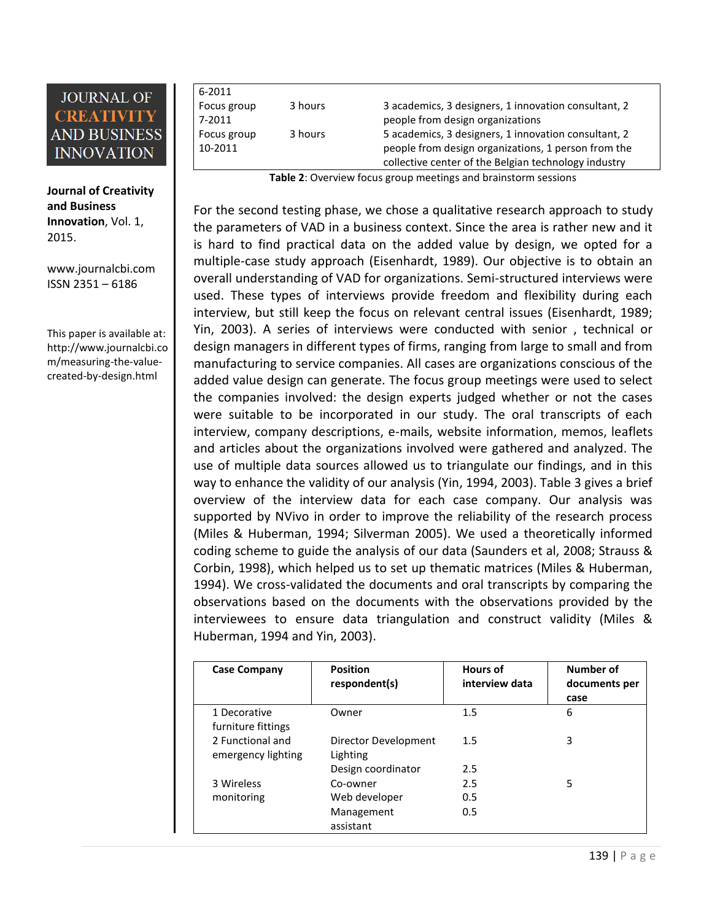**Journal of Creativity and Business Innovation**, Vol. 1, 2015.

[www.journalcbi.com](http://www.journalcbi.com/) ISSN 2351 – 6186

This paper is available at: [http://www.journalcbi.co](http://www.journalcbi.com/ideation-using-analogies.html) [m/measuring-the-value](http://www.journalcbi.com/ideation-using-analogies.html)[created-by-design.html](http://www.journalcbi.com/ideation-using-analogies.html) 

6-2011 Focus group 7-2011 Focus group 10-2011

3 hours 3 academics, 3 designers, 1 innovation consultant, 2 people from design organizations 3 hours 5 academics, 3 designers, 1 innovation consultant, 2 people from design organizations, 1 person from the [collective center of the Belgian technology industry](http://www.sirris.be/collective_centre.aspx)

**Table 2**: Overview focus group meetings and brainstorm sessions

For the second testing phase, we chose a qualitative research approach to study the parameters of VAD in a business context. Since the area is rather new and it is hard to find practical data on the added value by design, we opted for a multiple-case study approach (Eisenhardt, 1989). Our objective is to obtain an overall understanding of VAD for organizations. Semi-structured interviews were used. These types of interviews provide freedom and flexibility during each interview, but still keep the focus on relevant central issues (Eisenhardt, 1989; Yin, 2003). A series of interviews were conducted with senior , technical or design managers in different types of firms, ranging from large to small and from manufacturing to service companies. All cases are organizations conscious of the added value design can generate. The focus group meetings were used to select the companies involved: the design experts judged whether or not the cases were suitable to be incorporated in our study. The oral transcripts of each interview, company descriptions, e-mails, website information, memos, leaflets and articles about the organizations involved were gathered and analyzed. The use of multiple data sources allowed us to triangulate our findings, and in this way to enhance the validity of our analysis (Yin, 1994, 2003). Table 3 gives a brief overview of the interview data for each case company. Our analysis was supported by NVivo in order to improve the reliability of the research process (Miles & Huberman, 1994; Silverman 2005). We used a theoretically informed coding scheme to guide the analysis of our data (Saunders et al, 2008; Strauss & Corbin, 1998), which helped us to set up thematic matrices (Miles & Huberman, 1994). We cross-validated the documents and oral transcripts by comparing the observations based on the documents with the observations provided by the interviewees to ensure data triangulation and construct validity (Miles & Huberman, 1994 and Yin, 2003).

| <b>Case Company</b>                    | <b>Position</b>                  | <b>Hours of</b><br>interview data | Number of             |
|----------------------------------------|----------------------------------|-----------------------------------|-----------------------|
|                                        | respondent(s)                    |                                   | documents per<br>case |
| 1 Decorative<br>furniture fittings     | Owner                            | 1.5                               | 6                     |
| 2 Functional and<br>emergency lighting | Director Development<br>Lighting | 1.5                               | 3                     |
|                                        | Design coordinator               | 2.5                               |                       |
| 3 Wireless                             | Co-owner                         | 2.5                               | 5                     |
| monitoring                             | Web developer                    | 0.5                               |                       |
|                                        | Management<br>assistant          | 0.5                               |                       |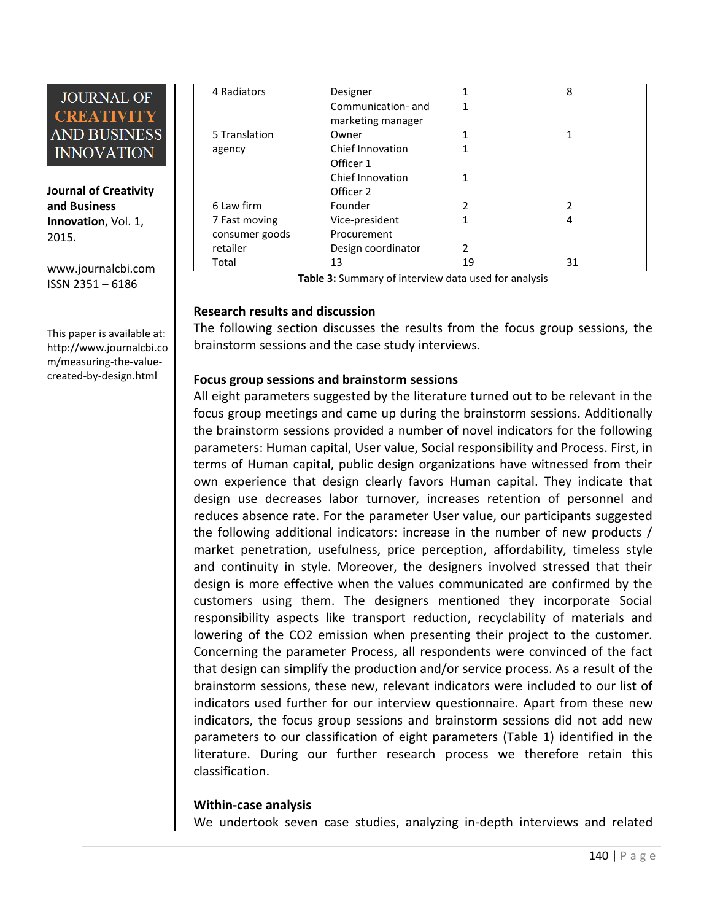**Journal of Creativity and Business Innovation**, Vol. 1, 2015.

[www.journalcbi.com](http://www.journalcbi.com/) ISSN 2351 – 6186

**4**

This paper is available at: [http://www.journalcbi.co](http://www.journalcbi.com/ideation-using-analogies.html) [m/measuring-the-value](http://www.journalcbi.com/ideation-using-analogies.html)[created-by-design.html](http://www.journalcbi.com/ideation-using-analogies.html) 

| 4 Radiators    | Designer           | 1              | 8  |
|----------------|--------------------|----------------|----|
|                | Communication-and  | 1              |    |
|                | marketing manager  |                |    |
| 5 Translation  | Owner              | 1              | 1  |
| agency         | Chief Innovation   | 1              |    |
|                | Officer 1          |                |    |
|                | Chief Innovation   | 1              |    |
|                | Officer 2          |                |    |
| 6 Law firm     | Founder            | $\overline{2}$ | 2  |
| 7 Fast moving  | Vice-president     | 1              | 4  |
| consumer goods | Procurement        |                |    |
| retailer       | Design coordinator | $\overline{2}$ |    |
| Total          | 13                 | 19             | 31 |

**Table 3:** Summary of interview data used for analysis

#### **5 Research results and discussion**

The following section discusses the results from the focus group sessions, the brainstorm sessions and the case study interviews.

#### **Focus group sessions and brainstorm sessions**

All eight parameters suggested by the literature turned out to be relevant in the focus group meetings and came up during the brainstorm sessions. Additionally the brainstorm sessions provided a number of novel indicators for the following parameters: Human capital, User value, Social responsibility and Process. First, in terms of Human capital, public design organizations have witnessed from their own experience that design clearly favors Human capital. They indicate that design use decreases labor turnover, increases retention of personnel and reduces absence rate. For the parameter User value, our participants suggested the following additional indicators: increase in the number of new products / market penetration, usefulness, price perception, affordability, timeless style and continuity in style. Moreover, the designers involved stressed that their design is more effective when the values communicated are confirmed by the customers using them. The designers mentioned they incorporate Social responsibility aspects like transport reduction, recyclability of materials and lowering of the CO2 emission when presenting their project to the customer. Concerning the parameter Process, all respondents were convinced of the fact that design can simplify the production and/or service process. As a result of the brainstorm sessions, these new, relevant indicators were included to our list of indicators used further for our interview questionnaire. Apart from these new indicators, the focus group sessions and brainstorm sessions did not add new parameters to our classification of eight parameters (Table 1) identified in the literature. During our further research process we therefore retain this classification.

#### **Within-case analysis**

We undertook seven case studies, analyzing in-depth interviews and related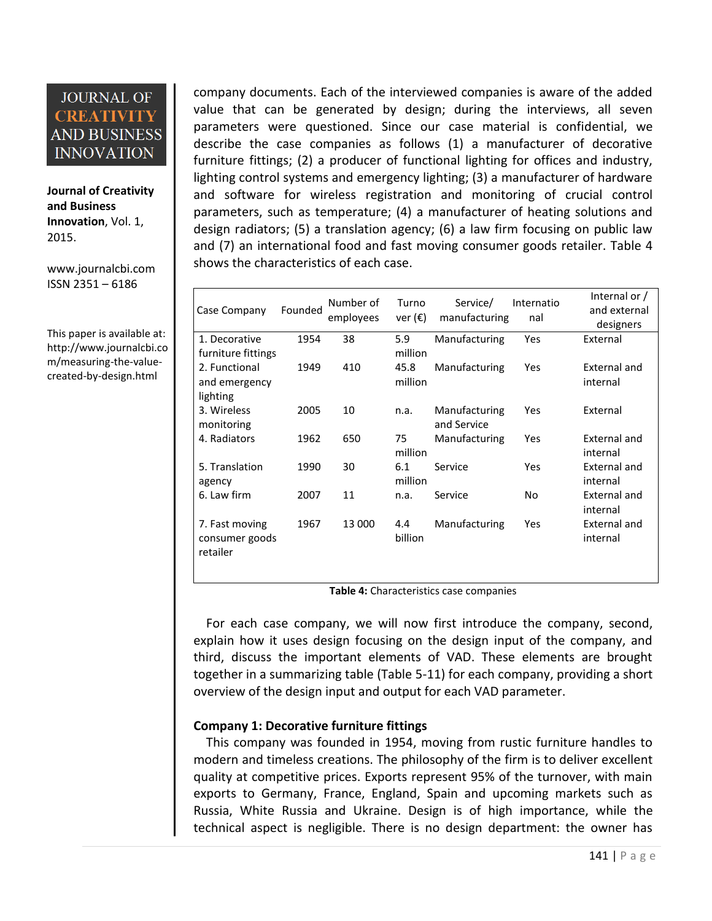**Journal of Creativity and Business Innovation**, Vol. 1, 2015.

[www.journalcbi.com](http://www.journalcbi.com/) ISSN 2351 – 6186

This paper is available at: [http://www.journalcbi.co](http://www.journalcbi.com/ideation-using-analogies.html) [m/measuring-the-value](http://www.journalcbi.com/ideation-using-analogies.html)[created-by-design.html](http://www.journalcbi.com/ideation-using-analogies.html) 

company documents. Each of the interviewed companies is aware of the added value that can be generated by design; during the interviews, all seven parameters were questioned. Since our case material is confidential, we describe the case companies as follows (1) a manufacturer of decorative furniture fittings; (2) a producer of functional lighting for offices and industry, lighting control systems and emergency lighting; (3) a manufacturer of hardware and software for wireless registration and monitoring of crucial control parameters, such as temperature; (4) a manufacturer of heating solutions and design radiators; (5) a translation agency; (6) a law firm focusing on public law and (7) an international food and fast moving consumer goods retailer. Table 4 shows the characteristics of each case.

| Case Company                                 | Founded | Number of<br>employees | Turno<br>ver $(\epsilon)$ | Service/<br>manufacturing    | Internatio<br>nal | Internal or /<br>and external<br>designers |
|----------------------------------------------|---------|------------------------|---------------------------|------------------------------|-------------------|--------------------------------------------|
| 1. Decorative                                | 1954    | 38                     | 5.9                       | Manufacturing                | Yes               | External                                   |
| furniture fittings                           |         |                        | million                   |                              |                   |                                            |
| 2. Functional                                | 1949    | 410                    | 45.8                      | Manufacturing                | Yes               | External and                               |
| and emergency<br>lighting                    |         |                        | million                   |                              |                   | internal                                   |
| 3. Wireless<br>monitoring                    | 2005    | 10                     | n.a.                      | Manufacturing<br>and Service | Yes               | External                                   |
| 4. Radiators                                 | 1962    | 650                    | 75<br>million             | Manufacturing                | Yes               | External and<br>internal                   |
| 5. Translation<br>agency                     | 1990    | 30                     | 6.1<br>million            | Service                      | Yes               | External and<br>internal                   |
| 6. Law firm                                  | 2007    | 11                     | n.a.                      | Service                      | No                | External and<br>internal                   |
| 7. Fast moving<br>consumer goods<br>retailer | 1967    | 13 000                 | 4.4<br>billion            | Manufacturing                | Yes               | External and<br>internal                   |

**Table 4:** Characteristics case companies

 For each case company, we will now first introduce the company, second, explain how it uses design focusing on the design input of the company, and third, discuss the important elements of VAD. These elements are brought together in a summarizing table (Table 5-11) for each company, providing a short overview of the design input and output for each VAD parameter.

#### **Company 1: Decorative furniture fittings**

 This company was founded in 1954, moving from rustic furniture handles to modern and timeless creations. The philosophy of the firm is to deliver excellent quality at competitive prices. Exports represent 95% of the turnover, with main exports to Germany, France, England, Spain and upcoming markets such as Russia, White Russia and Ukraine. Design is of high importance, while the technical aspect is negligible. There is no design department: the owner has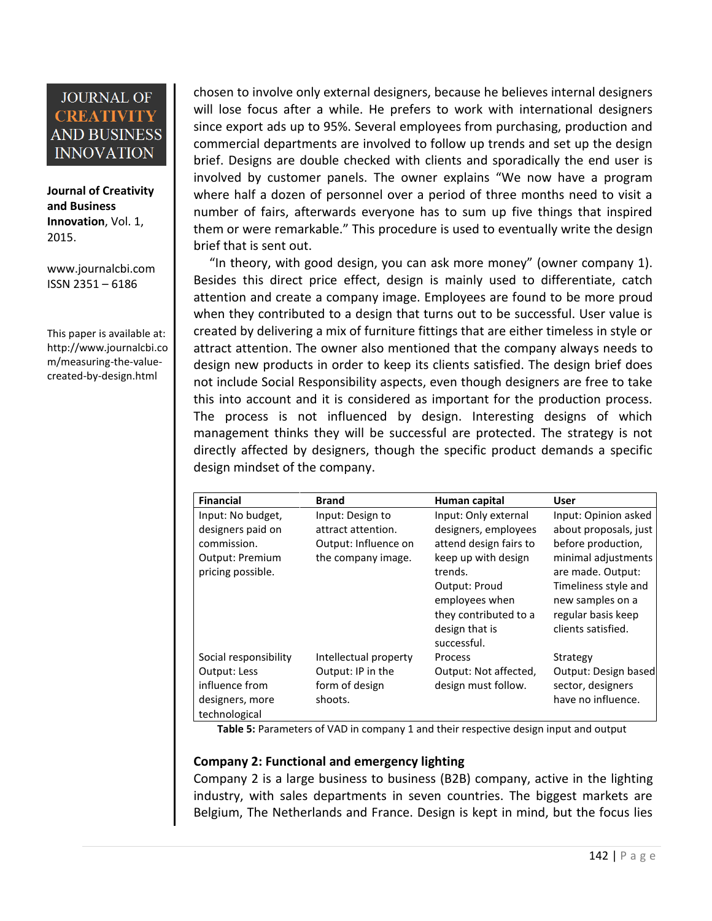**Journal of Creativity and Business Innovation**, Vol. 1, 2015.

[www.journalcbi.com](http://www.journalcbi.com/) ISSN 2351 – 6186

This paper is available at: [http://www.journalcbi.co](http://www.journalcbi.com/ideation-using-analogies.html) [m/measuring-the-value](http://www.journalcbi.com/ideation-using-analogies.html)[created-by-design.html](http://www.journalcbi.com/ideation-using-analogies.html) 

chosen to involve only external designers, because he believes internal designers will lose focus after a while. He prefers to work with international designers since export ads up to 95%. Several employees from purchasing, production and commercial departments are involved to follow up trends and set up the design brief. Designs are double checked with clients and sporadically the end user is involved by customer panels. The owner explains "We now have a program where half a dozen of personnel over a period of three months need to visit a number of fairs, afterwards everyone has to sum up five things that inspired them or were remarkable." This procedure is used to eventually write the design brief that is sent out.

 "In theory, with good design, you can ask more money" (owner company 1). Besides this direct price effect, design is mainly used to differentiate, catch attention and create a company image. Employees are found to be more proud when they contributed to a design that turns out to be successful. User value is created by delivering a mix of furniture fittings that are either timeless in style or attract attention. The owner also mentioned that the company always needs to design new products in order to keep its clients satisfied. The design brief does not include Social Responsibility aspects, even though designers are free to take this into account and it is considered as important for the production process. The process is not influenced by design. Interesting designs of which management thinks they will be successful are protected. The strategy is not directly affected by designers, though the specific product demands a specific design mindset of the company.

| <b>Financial</b>      | <b>Brand</b>          | Human capital          | User                  |
|-----------------------|-----------------------|------------------------|-----------------------|
| Input: No budget,     | Input: Design to      | Input: Only external   | Input: Opinion asked  |
| designers paid on     | attract attention.    | designers, employees   | about proposals, just |
| commission.           | Output: Influence on  | attend design fairs to | before production,    |
| Output: Premium       | the company image.    | keep up with design    | minimal adjustments   |
| pricing possible.     |                       | trends.                | are made. Output:     |
|                       |                       | Output: Proud          | Timeliness style and  |
|                       |                       | employees when         | new samples on a      |
|                       |                       | they contributed to a  | regular basis keep    |
|                       |                       | design that is         | clients satisfied.    |
|                       |                       | successful.            |                       |
| Social responsibility | Intellectual property | Process                | Strategy              |
| <b>Output: Less</b>   | Output: IP in the     | Output: Not affected,  | Output: Design based  |
| influence from        | form of design        | design must follow.    | sector, designers     |
| designers, more       | shoots.               |                        | have no influence.    |
| technological         |                       |                        |                       |

 **Table 5:** Parameters of VAD in company 1 and their respective design input and output

#### **Company 2: Functional and emergency lighting**

Company 2 is a large business to business (B2B) company, active in the lighting industry, with sales departments in seven countries. The biggest markets are Belgium, The Netherlands and France. Design is kept in mind, but the focus lies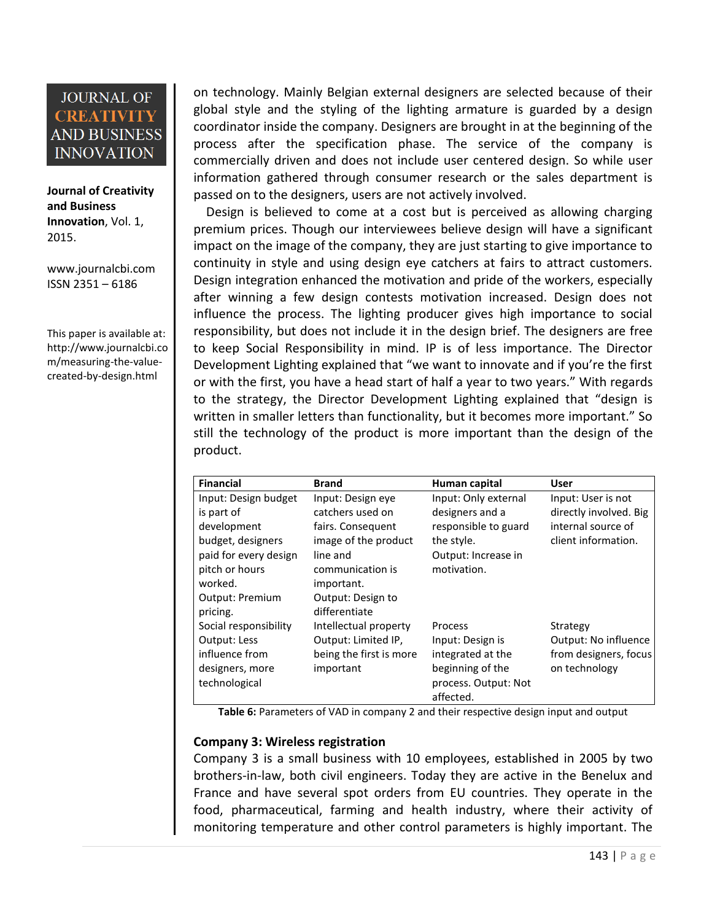**Journal of Creativity and Business Innovation**, Vol. 1, 2015.

[www.journalcbi.com](http://www.journalcbi.com/) ISSN 2351 – 6186

This paper is available at: [http://www.journalcbi.co](http://www.journalcbi.com/ideation-using-analogies.html) [m/measuring-the-value](http://www.journalcbi.com/ideation-using-analogies.html)[created-by-design.html](http://www.journalcbi.com/ideation-using-analogies.html) 

on technology. Mainly Belgian external designers are selected because of their global style and the styling of the lighting armature is guarded by a design coordinator inside the company. Designers are brought in at the beginning of the process after the specification phase. The service of the company is commercially driven and does not include user centered design. So while user information gathered through consumer research or the sales department is passed on to the designers, users are not actively involved.

 Design is believed to come at a cost but is perceived as allowing charging premium prices. Though our interviewees believe design will have a significant impact on the image of the company, they are just starting to give importance to continuity in style and using design eye catchers at fairs to attract customers. Design integration enhanced the motivation and pride of the workers, especially after winning a few design contests motivation increased. Design does not influence the process. The lighting producer gives high importance to social responsibility, but does not include it in the design brief. The designers are free to keep Social Responsibility in mind. IP is of less importance. The Director Development Lighting explained that "we want to innovate and if you're the first or with the first, you have a head start of half a year to two years." With regards to the strategy, the Director Development Lighting explained that "design is written in smaller letters than functionality, but it becomes more important." So still the technology of the product is more important than the design of the product.

| <b>Financial</b>      | <b>Brand</b>            | Human capital        | <b>User</b>            |
|-----------------------|-------------------------|----------------------|------------------------|
| Input: Design budget  | Input: Design eye       | Input: Only external | Input: User is not     |
| is part of            | catchers used on        | designers and a      | directly involved. Big |
| development           | fairs. Consequent       | responsible to guard | internal source of     |
| budget, designers     | image of the product    | the style.           | client information.    |
| paid for every design | line and                | Output: Increase in  |                        |
| pitch or hours        | communication is        | motivation.          |                        |
| worked.               | important.              |                      |                        |
| Output: Premium       | Output: Design to       |                      |                        |
| pricing.              | differentiate           |                      |                        |
| Social responsibility | Intellectual property   | Process              | Strategy               |
| <b>Output: Less</b>   | Output: Limited IP,     | Input: Design is     | Output: No influence   |
| influence from        | being the first is more | integrated at the    | from designers, focus  |
| designers, more       | important               | beginning of the     | on technology          |
| technological         |                         | process. Output: Not |                        |
|                       |                         | affected.            |                        |

**Table 6:** Parameters of VAD in company 2 and their respective design input and output

#### **Company 3: Wireless registration**

Company 3 is a small business with 10 employees, established in 2005 by two brothers-in-law, both civil engineers. Today they are active in the Benelux and France and have several spot orders from EU countries. They operate in the food, pharmaceutical, farming and health industry, where their activity of monitoring temperature and other control parameters is highly important. The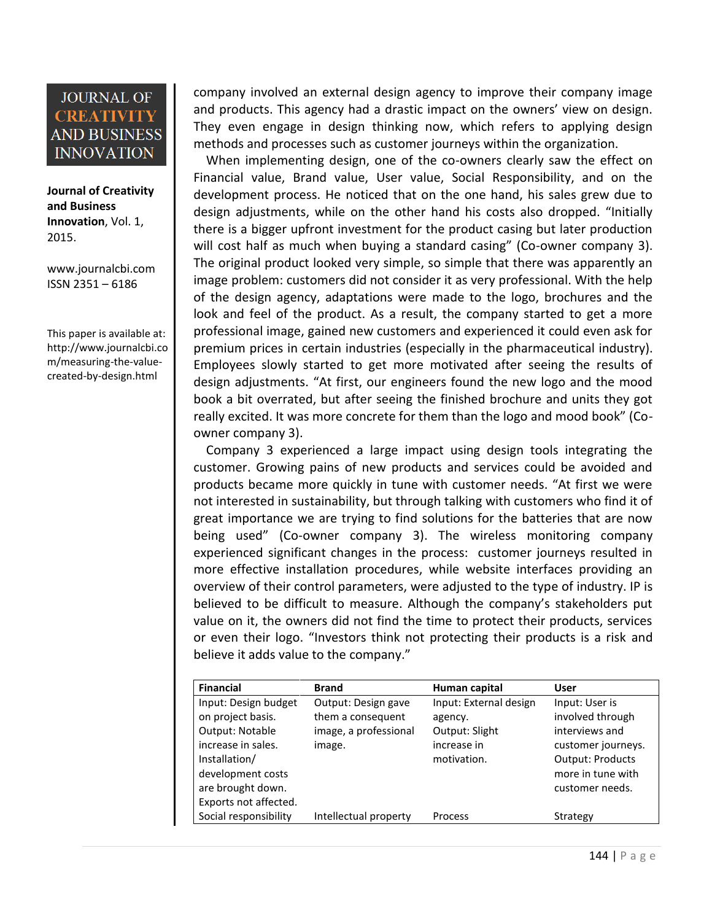**Journal of Creativity and Business Innovation**, Vol. 1, 2015.

[www.journalcbi.com](http://www.journalcbi.com/) ISSN 2351 – 6186

This paper is available at: [http://www.journalcbi.co](http://www.journalcbi.com/ideation-using-analogies.html) [m/measuring-the-value](http://www.journalcbi.com/ideation-using-analogies.html)[created-by-design.html](http://www.journalcbi.com/ideation-using-analogies.html) 

company involved an external design agency to improve their company image and products. This agency had a drastic impact on the owners' view on design. They even engage in design thinking now, which refers to applying design methods and processes such as customer journeys within the organization.

 When implementing design, one of the co-owners clearly saw the effect on Financial value, Brand value, User value, Social Responsibility, and on the development process. He noticed that on the one hand, his sales grew due to design adjustments, while on the other hand his costs also dropped. "Initially there is a bigger upfront investment for the product casing but later production will cost half as much when buying a standard casing" (Co-owner company 3). The original product looked very simple, so simple that there was apparently an image problem: customers did not consider it as very professional. With the help of the design agency, adaptations were made to the logo, brochures and the look and feel of the product. As a result, the company started to get a more professional image, gained new customers and experienced it could even ask for premium prices in certain industries (especially in the pharmaceutical industry). Employees slowly started to get more motivated after seeing the results of design adjustments. "At first, our engineers found the new logo and the mood book a bit overrated, but after seeing the finished brochure and units they got really excited. It was more concrete for them than the logo and mood book" (Coowner company 3).

 Company 3 experienced a large impact using design tools integrating the customer. Growing pains of new products and services could be avoided and products became more quickly in tune with customer needs. "At first we were not interested in sustainability, but through talking with customers who find it of great importance we are trying to find solutions for the batteries that are now being used" (Co-owner company 3). The wireless monitoring company experienced significant changes in the process: customer journeys resulted in more effective installation procedures, while website interfaces providing an overview of their control parameters, were adjusted to the type of industry. IP is believed to be difficult to measure. Although the company's stakeholders put value on it, the owners did not find the time to protect their products, services or even their logo. "Investors think not protecting their products is a risk and believe it adds value to the company."

| <b>Financial</b>      | <b>Brand</b>          | Human capital          | User                    |
|-----------------------|-----------------------|------------------------|-------------------------|
| Input: Design budget  | Output: Design gave   | Input: External design | Input: User is          |
| on project basis.     | them a consequent     | agency.                | involved through        |
| Output: Notable       | image, a professional | Output: Slight         | interviews and          |
| increase in sales.    | image.                | increase in            | customer journeys.      |
| Installation/         |                       | motivation.            | <b>Output: Products</b> |
| development costs     |                       |                        | more in tune with       |
| are brought down.     |                       |                        | customer needs.         |
| Exports not affected. |                       |                        |                         |
| Social responsibility | Intellectual property | Process                | Strategy                |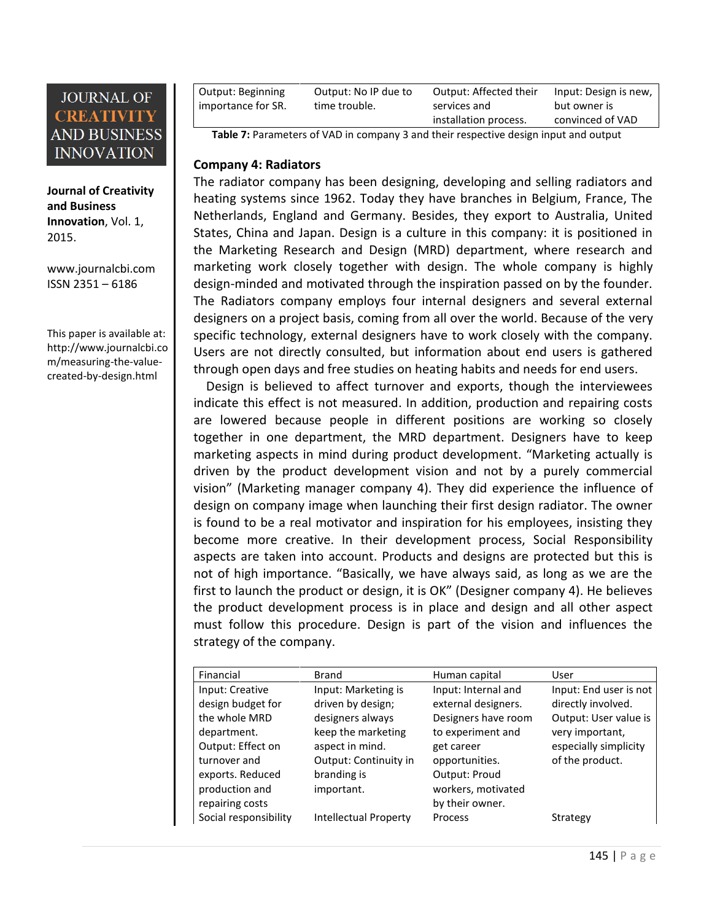**Journal of Creativity and Business Innovation**, Vol. 1, 2015.

[www.journalcbi.com](http://www.journalcbi.com/) ISSN 2351 – 6186

This paper is available at: [http://www.journalcbi.co](http://www.journalcbi.com/ideation-using-analogies.html) [m/measuring-the-value](http://www.journalcbi.com/ideation-using-analogies.html)[created-by-design.html](http://www.journalcbi.com/ideation-using-analogies.html) 

| <b>Output: Beginning</b><br>importance for SR. | Output: No IP due to<br>time trouble. | Output: Affected their<br>services and | Input: Design is new,<br>but owner is |
|------------------------------------------------|---------------------------------------|----------------------------------------|---------------------------------------|
|                                                |                                       | installation process.                  | convinced of VAD                      |
|                                                | .                                     |                                        |                                       |

**Table 7:** Parameters of VAD in company 3 and their respective design input and output

#### **Company 4: Radiators**

The radiator company has been designing, developing and selling radiators and heating systems since 1962. Today they have branches in Belgium, France, The Netherlands, England and Germany. Besides, they export to Australia, United States, China and Japan. Design is a culture in this company: it is positioned in the Marketing Research and Design (MRD) department, where research and marketing work closely together with design. The whole company is highly design-minded and motivated through the inspiration passed on by the founder. The Radiators company employs four internal designers and several external designers on a project basis, coming from all over the world. Because of the very specific technology, external designers have to work closely with the company. Users are not directly consulted, but information about end users is gathered through open days and free studies on heating habits and needs for end users.

 Design is believed to affect turnover and exports, though the interviewees indicate this effect is not measured. In addition, production and repairing costs are lowered because people in different positions are working so closely together in one department, the MRD department. Designers have to keep marketing aspects in mind during product development. "Marketing actually is driven by the product development vision and not by a purely commercial vision" (Marketing manager company 4). They did experience the influence of design on company image when launching their first design radiator. The owner is found to be a real motivator and inspiration for his employees, insisting they become more creative. In their development process, Social Responsibility aspects are taken into account. Products and designs are protected but this is not of high importance. "Basically, we have always said, as long as we are the first to launch the product or design, it is OK" (Designer company 4). He believes the product development process is in place and design and all other aspect must follow this procedure. Design is part of the vision and influences the strategy of the company.

| Financial             | <b>Brand</b>                 | Human capital       | User                   |
|-----------------------|------------------------------|---------------------|------------------------|
| Input: Creative       | Input: Marketing is          | Input: Internal and | Input: End user is not |
| design budget for     | driven by design;            | external designers. | directly involved.     |
| the whole MRD         | designers always             | Designers have room | Output: User value is  |
| department.           | keep the marketing           | to experiment and   | very important,        |
| Output: Effect on     | aspect in mind.              | get career          | especially simplicity  |
| turnover and          | Output: Continuity in        | opportunities.      | of the product.        |
| exports. Reduced      | branding is                  | Output: Proud       |                        |
| production and        | important.                   | workers, motivated  |                        |
| repairing costs       |                              | by their owner.     |                        |
| Social responsibility | <b>Intellectual Property</b> | Process             | Strategy               |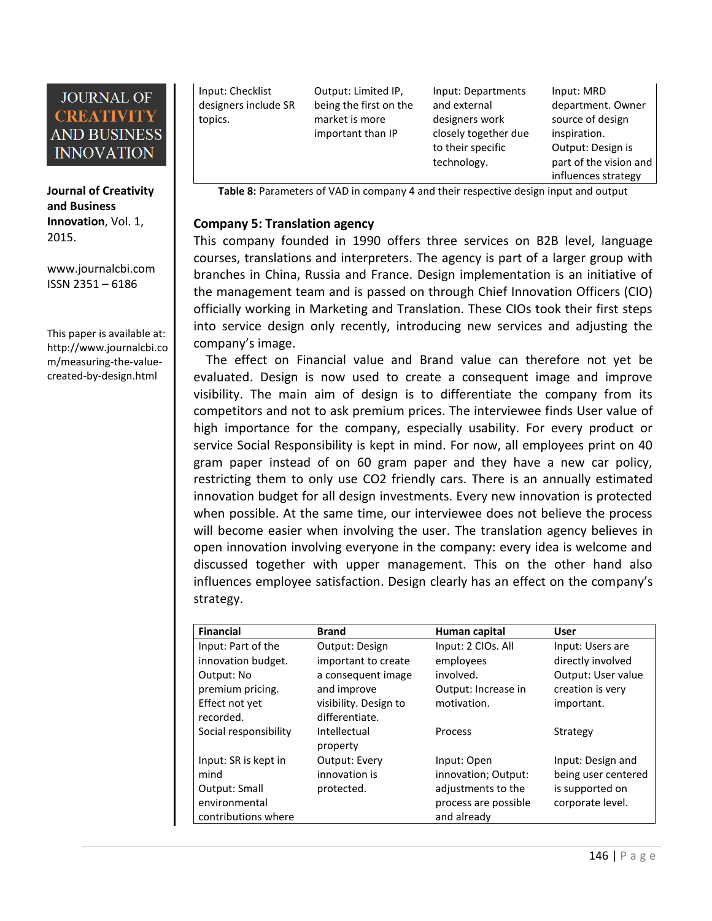**Journal of Creativity and Business Innovation**, Vol. 1, 2015.

[www.journalcbi.com](http://www.journalcbi.com/) ISSN 2351 – 6186

This paper is available at: [http://www.journalcbi.co](http://www.journalcbi.com/ideation-using-analogies.html) [m/measuring-the-value](http://www.journalcbi.com/ideation-using-analogies.html)[created-by-design.html](http://www.journalcbi.com/ideation-using-analogies.html) 

Input: Checklist designers include SR topics.

Output: Limited IP, being the first on the market is more important than IP

Input: Departments and external designers work closely together due to their specific technology.

Input: MRD department. Owner source of design inspiration. Output: Design is part of the vision and influences strategy

Table 8: Parameters of VAD in company 4 and their respective design input and output

#### **Company 5: Translation agency**

This company founded in 1990 offers three services on B2B level, language courses, translations and interpreters. The agency is part of a larger group with branches in China, Russia and France. Design implementation is an initiative of the management team and is passed on through Chief Innovation Officers (CIO) officially working in Marketing and Translation. These CIOs took their first steps into service design only recently, introducing new services and adjusting the company's image.

 The effect on Financial value and Brand value can therefore not yet be evaluated. Design is now used to create a consequent image and improve visibility. The main aim of design is to differentiate the company from its competitors and not to ask premium prices. The interviewee finds User value of high importance for the company, especially usability. For every product or service Social Responsibility is kept in mind. For now, all employees print on 40 gram paper instead of on 60 gram paper and they have a new car policy, restricting them to only use CO2 friendly cars. There is an annually estimated innovation budget for all design investments. Every new innovation is protected when possible. At the same time, our interviewee does not believe the process will become easier when involving the user. The translation agency believes in open innovation involving everyone in the company: every idea is welcome and discussed together with upper management. This on the other hand also influences employee satisfaction. Design clearly has an effect on the company's strategy.

| <b>Financial</b>      | <b>Brand</b>             | Human capital        | <b>User</b>         |
|-----------------------|--------------------------|----------------------|---------------------|
| Input: Part of the    | Output: Design           | Input: 2 CIOs. All   | Input: Users are    |
| innovation budget.    | important to create      | employees            | directly involved   |
| Output: No            | a consequent image       | involved.            | Output: User value  |
| premium pricing.      | and improve              | Output: Increase in  | creation is very    |
| Effect not yet        | visibility. Design to    | motivation.          | important.          |
| recorded.             | differentiate.           |                      |                     |
| Social responsibility | Intellectual<br>property | Process              | Strategy            |
| Input: SR is kept in  | <b>Output: Every</b>     | Input: Open          | Input: Design and   |
| mind                  | innovation is            | innovation; Output:  | being user centered |
| Output: Small         | protected.               | adjustments to the   | is supported on     |
| environmental         |                          | process are possible | corporate level.    |
| contributions where   |                          | and already          |                     |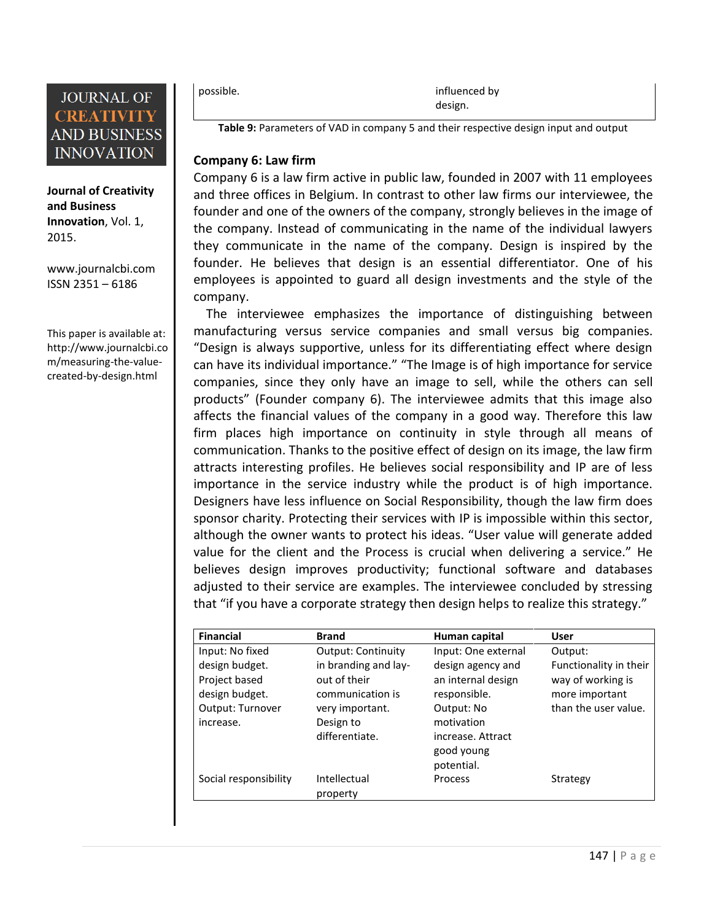

**Journal of Creativity and Business Innovation**, Vol. 1, 2015.

[www.journalcbi.com](http://www.journalcbi.com/) ISSN 2351 – 6186

This paper is available at: [http://www.journalcbi.co](http://www.journalcbi.com/ideation-using-analogies.html) [m/measuring-the-value](http://www.journalcbi.com/ideation-using-analogies.html)[created-by-design.html](http://www.journalcbi.com/ideation-using-analogies.html) 

possible. The contract of the contract of the contract of the influenced by  $\mathbf{v}$ design.

**Table 9:** Parameters of VAD in company 5 and their respective design input and output

#### **Company 6: Law firm**

Company 6 is a law firm active in public law, founded in 2007 with 11 employees and three offices in Belgium. In contrast to other law firms our interviewee, the founder and one of the owners of the company, strongly believes in the image of the company. Instead of communicating in the name of the individual lawyers they communicate in the name of the company. Design is inspired by the founder. He believes that design is an essential differentiator. One of his employees is appointed to guard all design investments and the style of the company.

 The interviewee emphasizes the importance of distinguishing between manufacturing versus service companies and small versus big companies. "Design is always supportive, unless for its differentiating effect where design can have its individual importance." "The Image is of high importance for service companies, since they only have an image to sell, while the others can sell products" (Founder company 6). The interviewee admits that this image also affects the financial values of the company in a good way. Therefore this law firm places high importance on continuity in style through all means of communication. Thanks to the positive effect of design on its image, the law firm attracts interesting profiles. He believes social responsibility and IP are of less importance in the service industry while the product is of high importance. Designers have less influence on Social Responsibility, though the law firm does sponsor charity. Protecting their services with IP is impossible within this sector, although the owner wants to protect his ideas. "User value will generate added value for the client and the Process is crucial when delivering a service." He believes design improves productivity; functional software and databases adjusted to their service are examples. The interviewee concluded by stressing that "if you have a corporate strategy then design helps to realize this strategy."

| <b>Financial</b>      | <b>Brand</b>              | Human capital       | User                   |
|-----------------------|---------------------------|---------------------|------------------------|
| Input: No fixed       | <b>Output: Continuity</b> | Input: One external | Output:                |
| design budget.        | in branding and lay-      | design agency and   | Functionality in their |
| Project based         | out of their              | an internal design  | way of working is      |
| design budget.        | communication is          | responsible.        | more important         |
| Output: Turnover      | very important.           | Output: No          | than the user value.   |
| increase.             | Design to                 | motivation          |                        |
|                       | differentiate.            | increase. Attract   |                        |
|                       |                           | good young          |                        |
|                       |                           | potential.          |                        |
| Social responsibility | Intellectual              | Process             | Strategy               |
|                       | property                  |                     |                        |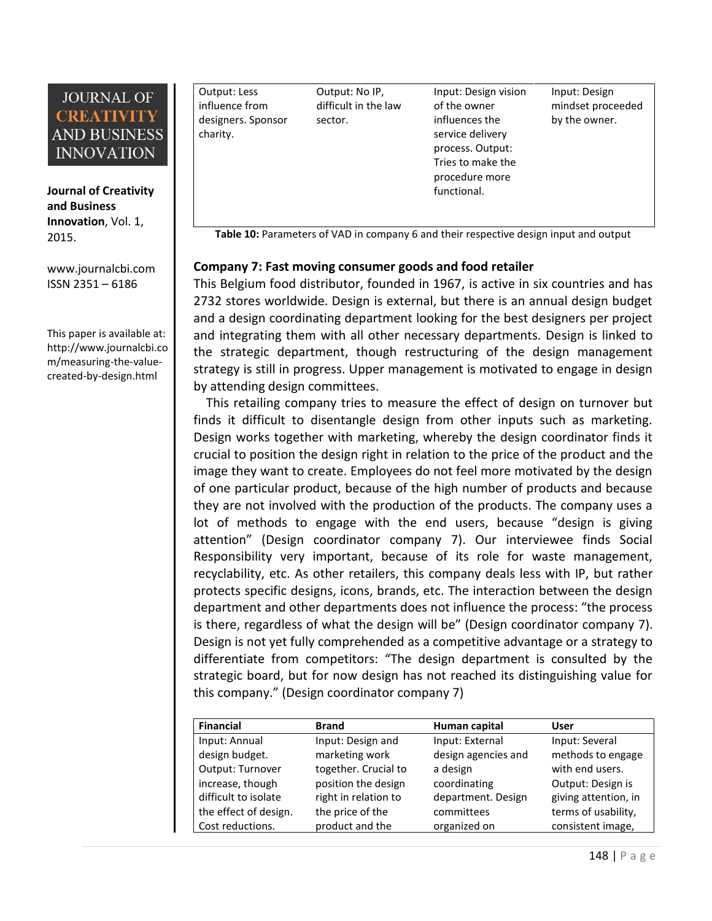**Journal of Creativity and Business Innovation**, Vol. 1, 2015.

[www.journalcbi.com](http://www.journalcbi.com/) ISSN 2351 – 6186

This paper is available at: [http://www.journalcbi.co](http://www.journalcbi.com/ideation-using-analogies.html) [m/measuring-the-value](http://www.journalcbi.com/ideation-using-analogies.html)[created-by-design.html](http://www.journalcbi.com/ideation-using-analogies.html) 

Output: Less influence from designers. Sponsor charity. Output: No IP, difficult in the law sector. Input: Design vision of the owner influences the service delivery process. Output: Tries to make the procedure more functional. Input: Design mindset proceeded by the owner.

Table 10: Parameters of VAD in company 6 and their respective design input and output

#### **Company 7: Fast moving consumer goods and food retailer**

This Belgium food distributor, founded in 1967, is active in six countries and has 2732 stores worldwide. Design is external, but there is an annual design budget and a design coordinating department looking for the best designers per project and integrating them with all other necessary departments. Design is linked to the strategic department, though restructuring of the design management strategy is still in progress. Upper management is motivated to engage in design by attending design committees.

 This retailing company tries to measure the effect of design on turnover but finds it difficult to disentangle design from other inputs such as marketing. Design works together with marketing, whereby the design coordinator finds it crucial to position the design right in relation to the price of the product and the image they want to create. Employees do not feel more motivated by the design of one particular product, because of the high number of products and because they are not involved with the production of the products. The company uses a lot of methods to engage with the end users, because "design is giving attention" (Design coordinator company 7). Our interviewee finds Social Responsibility very important, because of its role for waste management, recyclability, etc. As other retailers, this company deals less with IP, but rather protects specific designs, icons, brands, etc. The interaction between the design department and other departments does not influence the process: "the process is there, regardless of what the design will be" (Design coordinator company 7). Design is not yet fully comprehended as a competitive advantage or a strategy to differentiate from competitors: "The design department is consulted by the strategic board, but for now design has not reached its distinguishing value for this company." (Design coordinator company 7)

| <b>Financial</b>      | <b>Brand</b>         | Human capital       | User                 |
|-----------------------|----------------------|---------------------|----------------------|
| Input: Annual         | Input: Design and    | Input: External     | Input: Several       |
| design budget.        | marketing work       | design agencies and | methods to engage    |
| Output: Turnover      | together. Crucial to | a design            | with end users.      |
| increase, though      | position the design  | coordinating        | Output: Design is    |
| difficult to isolate  | right in relation to | department. Design  | giving attention, in |
| the effect of design. | the price of the     | committees          | terms of usability,  |
| Cost reductions.      | product and the      | organized on        | consistent image,    |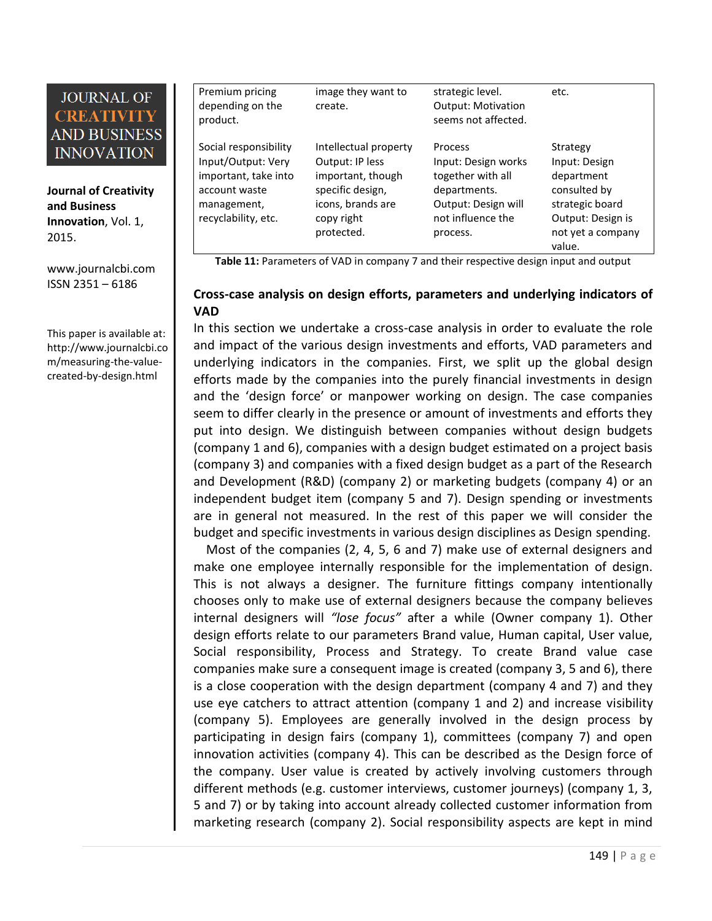**Journal of Creativity and Business Innovation**, Vol. 1, 2015.

[www.journalcbi.com](http://www.journalcbi.com/) ISSN 2351 – 6186

This paper is available at: [http://www.journalcbi.co](http://www.journalcbi.com/ideation-using-analogies.html) [m/measuring-the-value](http://www.journalcbi.com/ideation-using-analogies.html)[created-by-design.html](http://www.journalcbi.com/ideation-using-analogies.html) 

| Premium pricing<br>depending on the<br>product.                                                                            | image they want to<br>create.                                                                                                      | strategic level.<br><b>Output: Motivation</b><br>seems not affected.                                                        | etc.                                                                                                                           |
|----------------------------------------------------------------------------------------------------------------------------|------------------------------------------------------------------------------------------------------------------------------------|-----------------------------------------------------------------------------------------------------------------------------|--------------------------------------------------------------------------------------------------------------------------------|
| Social responsibility<br>Input/Output: Very<br>important, take into<br>account waste<br>management,<br>recyclability, etc. | Intellectual property<br>Output: IP less<br>important, though<br>specific design,<br>icons, brands are<br>copy right<br>protected. | Process<br>Input: Design works<br>together with all<br>departments.<br>Output: Design will<br>not influence the<br>process. | Strategy<br>Input: Design<br>department<br>consulted by<br>strategic board<br>Output: Design is<br>not yet a company<br>value. |

**Table 11:** Parameters of VAD in company 7 and their respective design input and output

#### **Cross-case analysis on design efforts, parameters and underlying indicators of VAD**

In this section we undertake a cross-case analysis in order to evaluate the role and impact of the various design investments and efforts, VAD parameters and underlying indicators in the companies. First, we split up the global design efforts made by the companies into the purely financial investments in design and the 'design force' or manpower working on design. The case companies seem to differ clearly in the presence or amount of investments and efforts they put into design. We distinguish between companies without design budgets (company 1 and 6), companies with a design budget estimated on a project basis (company 3) and companies with a fixed design budget as a part of the Research and Development (R&D) (company 2) or marketing budgets (company 4) or an independent budget item (company 5 and 7). Design spending or investments are in general not measured. In the rest of this paper we will consider the budget and specific investments in various design disciplines as Design spending.

Most of the companies (2, 4, 5, 6 and 7) make use of external designers and make one employee internally responsible for the implementation of design. This is not always a designer. The furniture fittings company intentionally chooses only to make use of external designers because the company believes internal designers will *"lose focus"* after a while (Owner company 1). Other design efforts relate to our parameters Brand value, Human capital, User value, Social responsibility, Process and Strategy. To create Brand value case companies make sure a consequent image is created (company 3, 5 and 6), there is a close cooperation with the design department (company 4 and 7) and they use eye catchers to attract attention (company 1 and 2) and increase visibility (company 5). Employees are generally involved in the design process by participating in design fairs (company 1), committees (company 7) and open innovation activities (company 4). This can be described as the Design force of the company. User value is created by actively involving customers through different methods (e.g. customer interviews, customer journeys) (company 1, 3, 5 and 7) or by taking into account already collected customer information from marketing research (company 2). Social responsibility aspects are kept in mind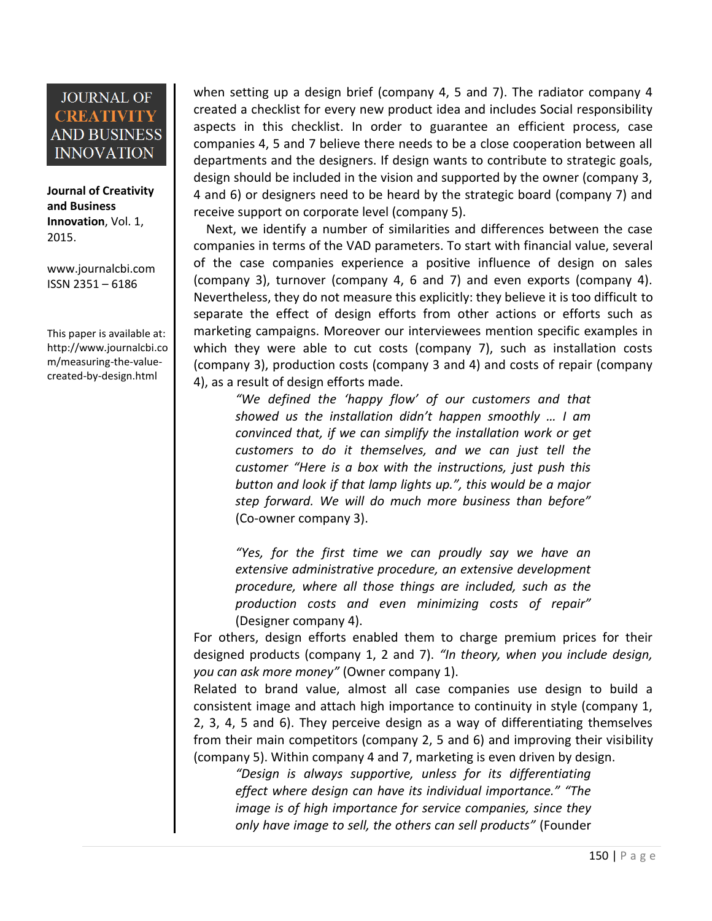**Journal of Creativity and Business Innovation**, Vol. 1, 2015.

[www.journalcbi.com](http://www.journalcbi.com/) ISSN 2351 – 6186

This paper is available at: [http://www.journalcbi.co](http://www.journalcbi.com/ideation-using-analogies.html) [m/measuring-the-value](http://www.journalcbi.com/ideation-using-analogies.html)[created-by-design.html](http://www.journalcbi.com/ideation-using-analogies.html) 

when setting up a design brief (company 4, 5 and 7). The radiator company 4 created a checklist for every new product idea and includes Social responsibility aspects in this checklist. In order to guarantee an efficient process, case companies 4, 5 and 7 believe there needs to be a close cooperation between all departments and the designers. If design wants to contribute to strategic goals, design should be included in the vision and supported by the owner (company 3, 4 and 6) or designers need to be heard by the strategic board (company 7) and receive support on corporate level (company 5).

 Next, we identify a number of similarities and differences between the case companies in terms of the VAD parameters. To start with financial value, several of the case companies experience a positive influence of design on sales (company 3), turnover (company 4, 6 and 7) and even exports (company 4). Nevertheless, they do not measure this explicitly: they believe it is too difficult to separate the effect of design efforts from other actions or efforts such as marketing campaigns. Moreover our interviewees mention specific examples in which they were able to cut costs (company 7), such as installation costs (company 3), production costs (company 3 and 4) and costs of repair (company 4), as a result of design efforts made.

*"We defined the 'happy flow' of our customers and that showed us the installation didn't happen smoothly … I am convinced that, if we can simplify the installation work or get customers to do it themselves, and we can just tell the customer "Here is a box with the instructions, just push this button and look if that lamp lights up.", this would be a major step forward. We will do much more business than before"* (Co-owner company 3).

*"Yes, for the first time we can proudly say we have an extensive administrative procedure, an extensive development procedure, where all those things are included, such as the production costs and even minimizing costs of repair"* (Designer company 4).

For others, design efforts enabled them to charge premium prices for their designed products (company 1, 2 and 7). *"In theory, when you include design, you can ask more money"* (Owner company 1).

Related to brand value, almost all case companies use design to build a consistent image and attach high importance to continuity in style (company 1, 2, 3, 4, 5 and 6). They perceive design as a way of differentiating themselves from their main competitors (company 2, 5 and 6) and improving their visibility (company 5). Within company 4 and 7, marketing is even driven by design.

*"Design is always supportive, unless for its differentiating effect where design can have its individual importance." "The image is of high importance for service companies, since they only have image to sell, the others can sell products"* (Founder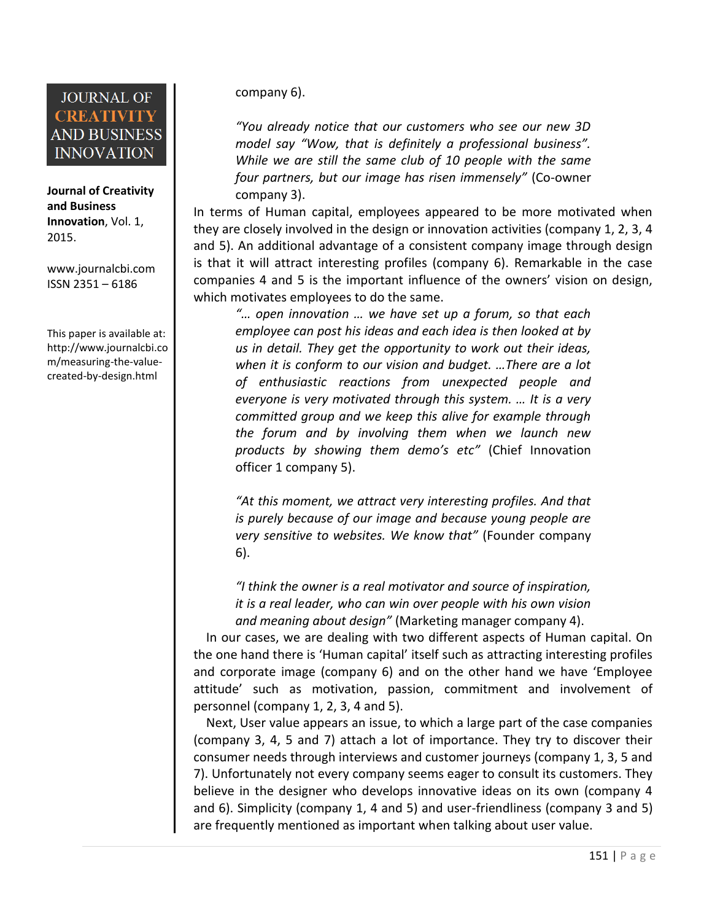**Journal of Creativity and Business Innovation**, Vol. 1, 2015.

[www.journalcbi.com](http://www.journalcbi.com/) ISSN 2351 – 6186

This paper is available at: [http://www.journalcbi.co](http://www.journalcbi.com/ideation-using-analogies.html) [m/measuring-the-value](http://www.journalcbi.com/ideation-using-analogies.html)[created-by-design.html](http://www.journalcbi.com/ideation-using-analogies.html) 

company 6).

*"You already notice that our customers who see our new 3D model say "Wow, that is definitely a professional business". While we are still the same club of 10 people with the same four partners, but our image has risen immensely"* (Co-owner company 3).

In terms of Human capital, employees appeared to be more motivated when they are closely involved in the design or innovation activities (company 1, 2, 3, 4 and 5). An additional advantage of a consistent company image through design is that it will attract interesting profiles (company 6). Remarkable in the case companies 4 and 5 is the important influence of the owners' vision on design, which motivates employees to do the same.

*"… open innovation … we have set up a forum, so that each employee can post his ideas and each idea is then looked at by us in detail. They get the opportunity to work out their ideas, when it is conform to our vision and budget. …There are a lot of enthusiastic reactions from unexpected people and everyone is very motivated through this system. … It is a very committed group and we keep this alive for example through the forum and by involving them when we launch new products by showing them demo's etc"* (Chief Innovation officer 1 company 5).

*"At this moment, we attract very interesting profiles. And that is purely because of our image and because young people are very sensitive to websites. We know that"* (Founder company 6).

*"I think the owner is a real motivator and source of inspiration, it is a real leader, who can win over people with his own vision and meaning about design"* (Marketing manager company 4).

 In our cases, we are dealing with two different aspects of Human capital. On the one hand there is 'Human capital' itself such as attracting interesting profiles and corporate image (company 6) and on the other hand we have 'Employee attitude' such as motivation, passion, commitment and involvement of personnel (company 1, 2, 3, 4 and 5).

 Next, User value appears an issue, to which a large part of the case companies (company 3, 4, 5 and 7) attach a lot of importance. They try to discover their consumer needs through interviews and customer journeys (company 1, 3, 5 and 7). Unfortunately not every company seems eager to consult its customers. They believe in the designer who develops innovative ideas on its own (company 4 and 6). Simplicity (company 1, 4 and 5) and user-friendliness (company 3 and 5) are frequently mentioned as important when talking about user value.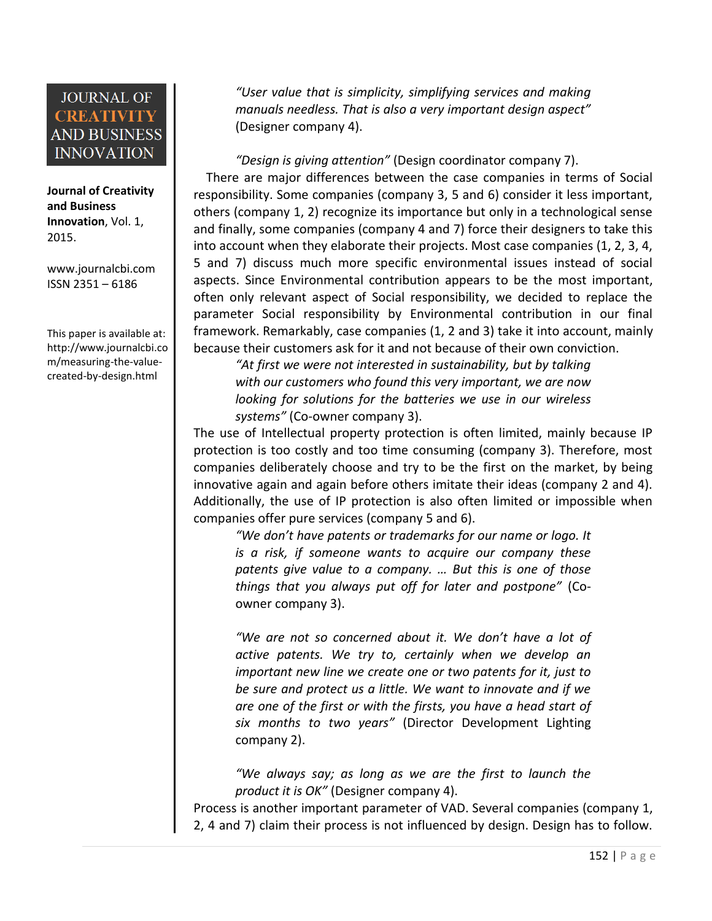#### **Journal of Creativity and Business Innovation**, Vol. 1, 2015.

[www.journalcbi.com](http://www.journalcbi.com/) ISSN 2351 – 6186

This paper is available at: [http://www.journalcbi.co](http://www.journalcbi.com/ideation-using-analogies.html) [m/measuring-the-value](http://www.journalcbi.com/ideation-using-analogies.html)[created-by-design.html](http://www.journalcbi.com/ideation-using-analogies.html) 

*"User value that is simplicity, simplifying services and making manuals needless. That is also a very important design aspect"* (Designer company 4).

*"Design is giving attention"* (Design coordinator company 7). There are major differences between the case companies in terms of Social responsibility. Some companies (company 3, 5 and 6) consider it less important, others (company 1, 2) recognize its importance but only in a technological sense and finally, some companies (company 4 and 7) force their designers to take this into account when they elaborate their projects. Most case companies (1, 2, 3, 4, 5 and 7) discuss much more specific environmental issues instead of social aspects. Since Environmental contribution appears to be the most important, often only relevant aspect of Social responsibility, we decided to replace the parameter Social responsibility by Environmental contribution in our final framework. Remarkably, case companies (1, 2 and 3) take it into account, mainly because their customers ask for it and not because of their own conviction.

*"At first we were not interested in sustainability, but by talking with our customers who found this very important, we are now looking for solutions for the batteries we use in our wireless systems"* (Co-owner company 3).

The use of Intellectual property protection is often limited, mainly because IP protection is too costly and too time consuming (company 3). Therefore, most companies deliberately choose and try to be the first on the market, by being innovative again and again before others imitate their ideas (company 2 and 4). Additionally, the use of IP protection is also often limited or impossible when companies offer pure services (company 5 and 6).

*"We don't have patents or trademarks for our name or logo. It is a risk, if someone wants to acquire our company these patents give value to a company. … But this is one of those things that you always put off for later and postpone"* (Coowner company 3).

*"We are not so concerned about it. We don't have a lot of active patents. We try to, certainly when we develop an important new line we create one or two patents for it, just to be sure and protect us a little. We want to innovate and if we are one of the first or with the firsts, you have a head start of six months to two years"* (Director Development Lighting company 2).

*"We always say; as long as we are the first to launch the product it is OK"* (Designer company 4).

Process is another important parameter of VAD. Several companies (company 1, 2, 4 and 7) claim their process is not influenced by design. Design has to follow.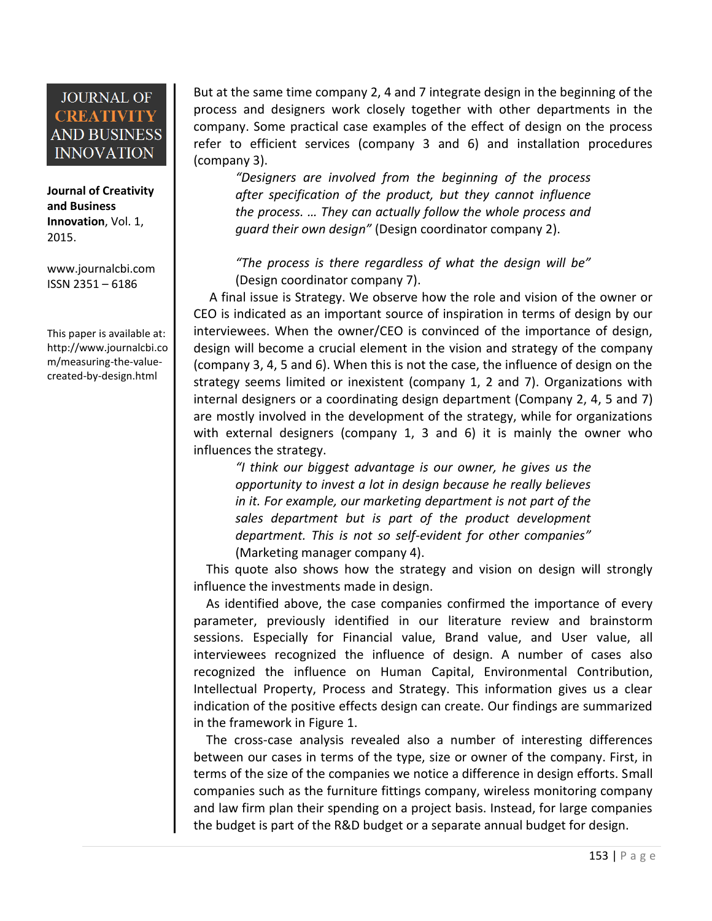**Journal of Creativity and Business Innovation**, Vol. 1, 2015.

[www.journalcbi.com](http://www.journalcbi.com/) ISSN 2351 – 6186

This paper is available at: [http://www.journalcbi.co](http://www.journalcbi.com/ideation-using-analogies.html) [m/measuring-the-value](http://www.journalcbi.com/ideation-using-analogies.html)[created-by-design.html](http://www.journalcbi.com/ideation-using-analogies.html) 

But at the same time company 2, 4 and 7 integrate design in the beginning of the process and designers work closely together with other departments in the company. Some practical case examples of the effect of design on the process refer to efficient services (company 3 and 6) and installation procedures (company 3).

*"Designers are involved from the beginning of the process after specification of the product, but they cannot influence the process. … They can actually follow the whole process and guard their own design"* (Design coordinator company 2).

*"The process is there regardless of what the design will be"* (Design coordinator company 7).

 A final issue is Strategy. We observe how the role and vision of the owner or CEO is indicated as an important source of inspiration in terms of design by our interviewees. When the owner/CEO is convinced of the importance of design, design will become a crucial element in the vision and strategy of the company (company 3, 4, 5 and 6). When this is not the case, the influence of design on the strategy seems limited or inexistent (company 1, 2 and 7). Organizations with internal designers or a coordinating design department (Company 2, 4, 5 and 7) are mostly involved in the development of the strategy, while for organizations with external designers (company 1, 3 and 6) it is mainly the owner who influences the strategy.

*"I think our biggest advantage is our owner, he gives us the opportunity to invest a lot in design because he really believes in it. For example, our marketing department is not part of the sales department but is part of the product development department. This is not so self-evident for other companies"* (Marketing manager company 4).

 This quote also shows how the strategy and vision on design will strongly influence the investments made in design.

 As identified above, the case companies confirmed the importance of every parameter, previously identified in our literature review and brainstorm sessions. Especially for Financial value, Brand value, and User value, all interviewees recognized the influence of design. A number of cases also recognized the influence on Human Capital, Environmental Contribution, Intellectual Property, Process and Strategy. This information gives us a clear indication of the positive effects design can create. Our findings are summarized in the framework in Figure 1.

The cross-case analysis revealed also a number of interesting differences between our cases in terms of the type, size or owner of the company. First, in terms of the size of the companies we notice a difference in design efforts. Small companies such as the furniture fittings company, wireless monitoring company and law firm plan their spending on a project basis. Instead, for large companies the budget is part of the R&D budget or a separate annual budget for design.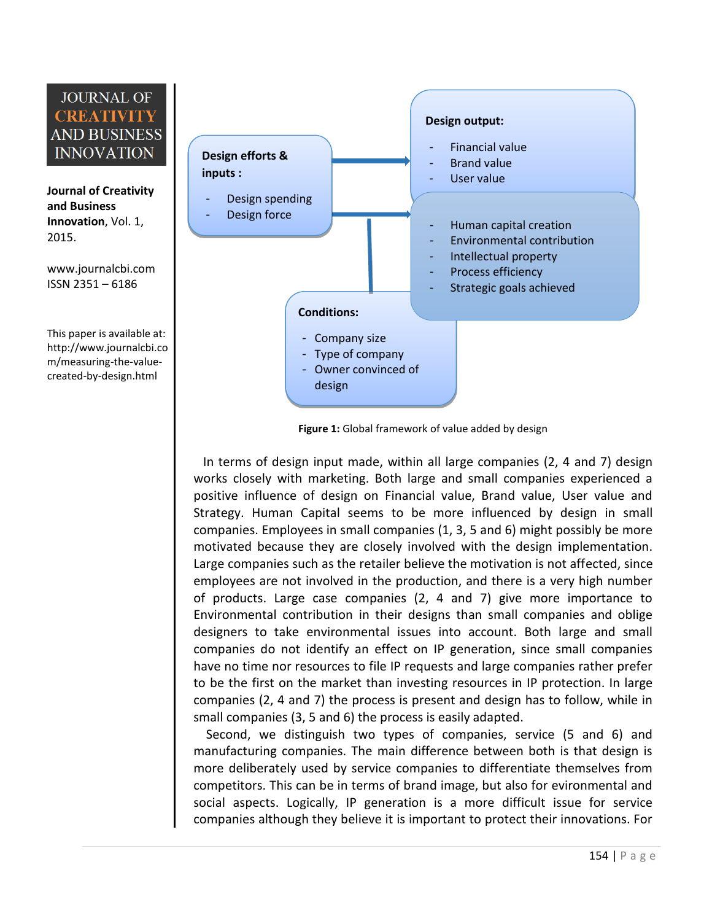**Journal of Creativity and Business Innovation**, Vol. 1, 2015.

[www.journalcbi.com](http://www.journalcbi.com/) ISSN 2351 – 6186

This paper is available at: [http://www.journalcbi.co](http://www.journalcbi.com/ideation-using-analogies.html) [m/measuring-the-value](http://www.journalcbi.com/ideation-using-analogies.html)[created-by-design.html](http://www.journalcbi.com/ideation-using-analogies.html) 



**Figure 1:** Global framework of value added by design

 In terms of design input made, within all large companies (2, 4 and 7) design works closely with marketing. Both large and small companies experienced a positive influence of design on Financial value, Brand value, User value and Strategy. Human Capital seems to be more influenced by design in small companies. Employees in small companies (1, 3, 5 and 6) might possibly be more motivated because they are closely involved with the design implementation. Large companies such as the retailer believe the motivation is not affected, since employees are not involved in the production, and there is a very high number of products. Large case companies (2, 4 and 7) give more importance to Environmental contribution in their designs than small companies and oblige designers to take environmental issues into account. Both large and small companies do not identify an effect on IP generation, since small companies have no time nor resources to file IP requests and large companies rather prefer to be the first on the market than investing resources in IP protection. In large companies (2, 4 and 7) the process is present and design has to follow, while in small companies (3, 5 and 6) the process is easily adapted.

 Second, we distinguish two types of companies, service (5 and 6) and manufacturing companies. The main difference between both is that design is more deliberately used by service companies to differentiate themselves from competitors. This can be in terms of brand image, but also for evironmental and social aspects. Logically, IP generation is a more difficult issue for service companies although they believe it is important to protect their innovations. For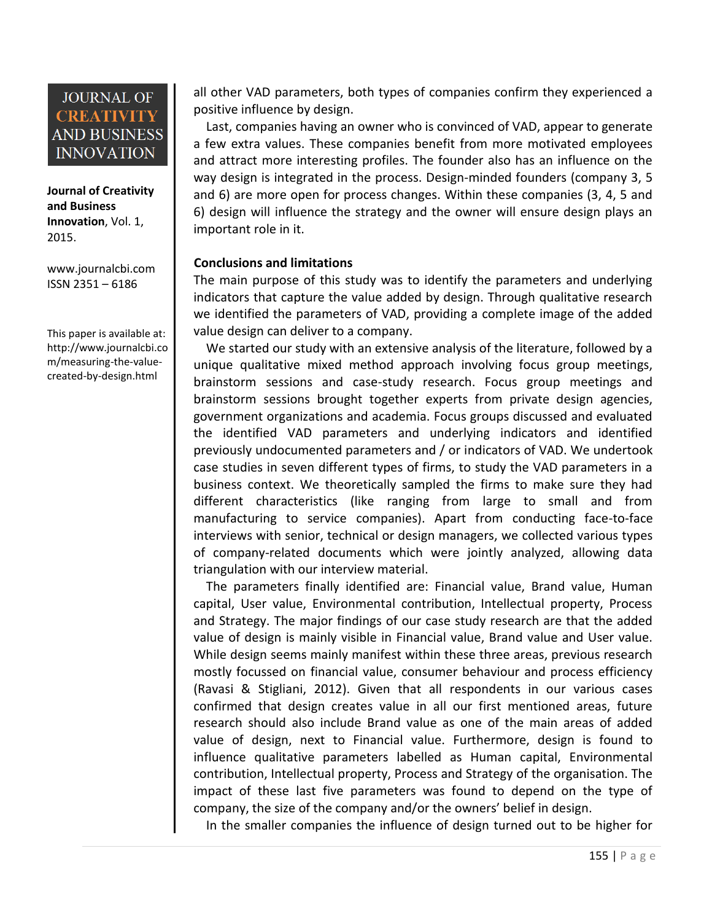**Journal of Creativity and Business Innovation**, Vol. 1, 2015.

[www.journalcbi.com](http://www.journalcbi.com/) ISSN 2351 – 6186

This paper is available at: [http://www.journalcbi.co](http://www.journalcbi.com/ideation-using-analogies.html) [m/measuring-the-value](http://www.journalcbi.com/ideation-using-analogies.html)[created-by-design.html](http://www.journalcbi.com/ideation-using-analogies.html) 

all other VAD parameters, both types of companies confirm they experienced a positive influence by design.

 Last, companies having an owner who is convinced of VAD, appear to generate a few extra values. These companies benefit from more motivated employees and attract more interesting profiles. The founder also has an influence on the way design is integrated in the process. Design-minded founders (company 3, 5 and 6) are more open for process changes. Within these companies (3, 4, 5 and 6) design will influence the strategy and the owner will ensure design plays an important role in it.

#### **Conclusions and limitations**

The main purpose of this study was to identify the parameters and underlying indicators that capture the value added by design. Through qualitative research we identified the parameters of VAD, providing a complete image of the added value design can deliver to a company.

 We started our study with an extensive analysis of the literature, followed by a unique qualitative mixed method approach involving focus group meetings, brainstorm sessions and case-study research. Focus group meetings and brainstorm sessions brought together experts from private design agencies, government organizations and academia. Focus groups discussed and evaluated the identified VAD parameters and underlying indicators and identified previously undocumented parameters and / or indicators of VAD. We undertook case studies in seven different types of firms, to study the VAD parameters in a business context. We theoretically sampled the firms to make sure they had different characteristics (like ranging from large to small and from manufacturing to service companies). Apart from conducting face-to-face interviews with senior, technical or design managers, we collected various types of company-related documents which were jointly analyzed, allowing data triangulation with our interview material.

 The parameters finally identified are: Financial value, Brand value, Human capital, User value, Environmental contribution, Intellectual property, Process and Strategy. The major findings of our case study research are that the added value of design is mainly visible in Financial value, Brand value and User value. While design seems mainly manifest within these three areas, previous research mostly focussed on financial value, consumer behaviour and process efficiency (Ravasi & Stigliani, 2012). Given that all respondents in our various cases confirmed that design creates value in all our first mentioned areas, future research should also include Brand value as one of the main areas of added value of design, next to Financial value. Furthermore, design is found to influence qualitative parameters labelled as Human capital, Environmental contribution, Intellectual property, Process and Strategy of the organisation. The impact of these last five parameters was found to depend on the type of company, the size of the company and/or the owners' belief in design.

In the smaller companies the influence of design turned out to be higher for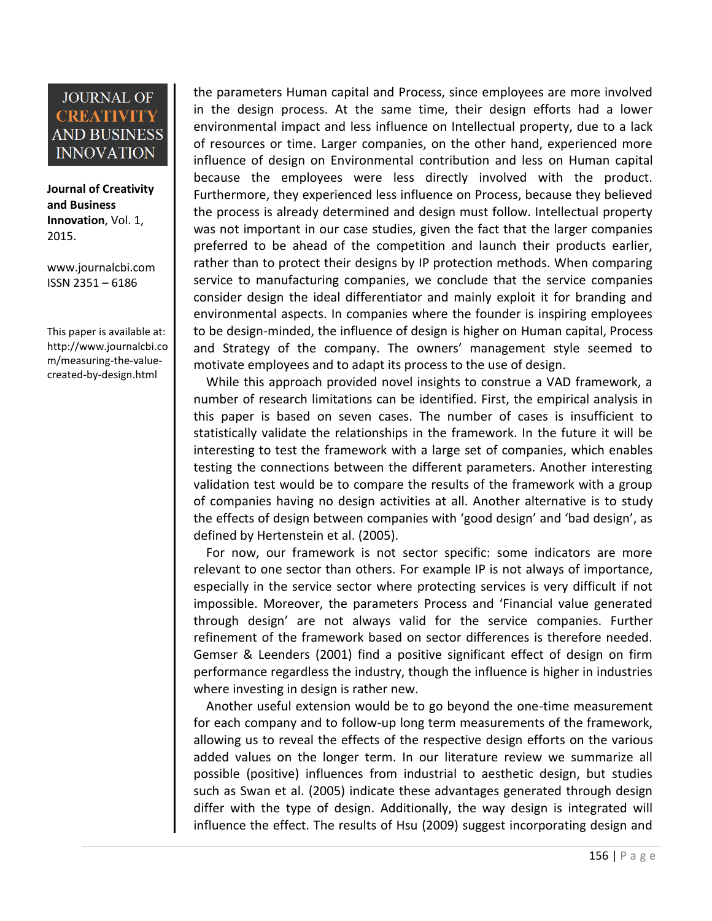**Journal of Creativity and Business Innovation**, Vol. 1, 2015.

[www.journalcbi.com](http://www.journalcbi.com/) ISSN 2351 – 6186

This paper is available at: [http://www.journalcbi.co](http://www.journalcbi.com/ideation-using-analogies.html) [m/measuring-the-value](http://www.journalcbi.com/ideation-using-analogies.html)[created-by-design.html](http://www.journalcbi.com/ideation-using-analogies.html) 

the parameters Human capital and Process, since employees are more involved in the design process. At the same time, their design efforts had a lower environmental impact and less influence on Intellectual property, due to a lack of resources or time. Larger companies, on the other hand, experienced more influence of design on Environmental contribution and less on Human capital because the employees were less directly involved with the product. Furthermore, they experienced less influence on Process, because they believed the process is already determined and design must follow. Intellectual property was not important in our case studies, given the fact that the larger companies preferred to be ahead of the competition and launch their products earlier, rather than to protect their designs by IP protection methods. When comparing service to manufacturing companies, we conclude that the service companies consider design the ideal differentiator and mainly exploit it for branding and environmental aspects. In companies where the founder is inspiring employees to be design-minded, the influence of design is higher on Human capital, Process and Strategy of the company. The owners' management style seemed to motivate employees and to adapt its process to the use of design.

 While this approach provided novel insights to construe a VAD framework, a number of research limitations can be identified. First, the empirical analysis in this paper is based on seven cases. The number of cases is insufficient to statistically validate the relationships in the framework. In the future it will be interesting to test the framework with a large set of companies, which enables testing the connections between the different parameters. Another interesting validation test would be to compare the results of the framework with a group of companies having no design activities at all. Another alternative is to study the effects of design between companies with 'good design' and 'bad design', as defined by Hertenstein et al. (2005).

 For now, our framework is not sector specific: some indicators are more relevant to one sector than others. For example IP is not always of importance, especially in the service sector where protecting services is very difficult if not impossible. Moreover, the parameters Process and 'Financial value generated through design' are not always valid for the service companies. Further refinement of the framework based on sector differences is therefore needed. Gemser & Leenders (2001) find a positive significant effect of design on firm performance regardless the industry, though the influence is higher in industries where investing in design is rather new.

 Another useful extension would be to go beyond the one-time measurement for each company and to follow-up long term measurements of the framework, allowing us to reveal the effects of the respective design efforts on the various added values on the longer term. In our literature review we summarize all possible (positive) influences from industrial to aesthetic design, but studies such as Swan et al. (2005) indicate these advantages generated through design differ with the type of design. Additionally, the way design is integrated will influence the effect. The results of Hsu (2009) suggest incorporating design and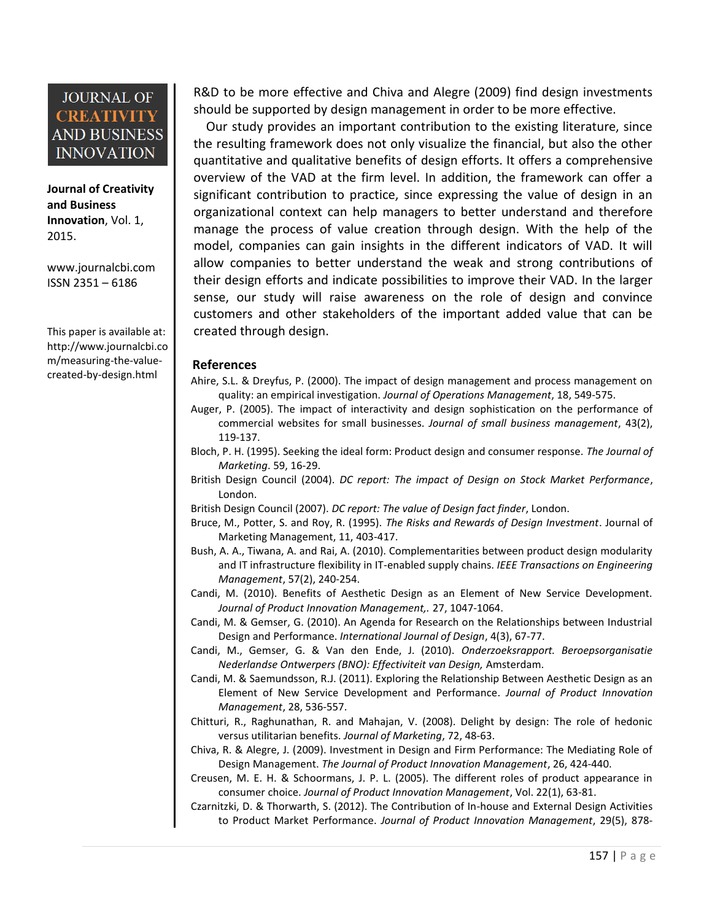**Journal of Creativity and Business Innovation**, Vol. 1, 2015.

[www.journalcbi.com](http://www.journalcbi.com/) ISSN 2351 – 6186

This paper is available at: [http://www.journalcbi.co](http://www.journalcbi.com/ideation-using-analogies.html) [m/measuring-the-value](http://www.journalcbi.com/ideation-using-analogies.html)[created-by-design.html](http://www.journalcbi.com/ideation-using-analogies.html) 

R&D to be more effective and Chiva and Alegre (2009) find design investments should be supported by design management in order to be more effective.

 Our study provides an important contribution to the existing literature, since the resulting framework does not only visualize the financial, but also the other quantitative and qualitative benefits of design efforts. It offers a comprehensive overview of the VAD at the firm level. In addition, the framework can offer a significant contribution to practice, since expressing the value of design in an organizational context can help managers to better understand and therefore manage the process of value creation through design. With the help of the model, companies can gain insights in the different indicators of VAD. It will allow companies to better understand the weak and strong contributions of their design efforts and indicate possibilities to improve their VAD. In the larger sense, our study will raise awareness on the role of design and convince customers and other stakeholders of the important added value that can be created through design.

#### **References**

- Ahire, S.L. & Dreyfus, P. (2000). The impact of design management and process management on quality: an empirical investigation. *Journal of Operations Management*, 18, 549-575.
- Auger, P. (2005). The impact of interactivity and design sophistication on the performance of commercial websites for small businesses. *Journal of small business management*, 43(2), 119-137.
- Bloch, P. H. (1995). Seeking the ideal form: Product design and consumer response. *The Journal of Marketing*. 59, 16-29.
- British Design Council (2004). *DC report: The impact of Design on Stock Market Performance*, London.
- British Design Council (2007). *DC report: The value of Design fact finder*, London.
- Bruce, M., Potter, S. and Roy, R. (1995). *The Risks and Rewards of Design Investment*. Journal of Marketing Management, 11, 403-417.
- Bush, A. A., Tiwana, A. and Rai, A. (2010). Complementarities between product design modularity and IT infrastructure flexibility in IT-enabled supply chains. *IEEE Transactions on Engineering Management*, 57(2), 240-254.
- Candi, M. (2010). Benefits of Aesthetic Design as an Element of New Service Development. *Journal of Product Innovation Management,.* 27, 1047-1064.
- Candi, M. & Gemser, G. (2010). An Agenda for Research on the Relationships between Industrial Design and Performance. *International Journal of Design*, 4(3), 67-77.
- Candi, M., Gemser, G. & Van den Ende, J. (2010). *Onderzoeksrapport. Beroepsorganisatie Nederlandse Ontwerpers (BNO): Effectiviteit van Design,* Amsterdam.
- Candi, M. & Saemundsson, R.J. (2011). Exploring the Relationship Between Aesthetic Design as an Element of New Service Development and Performance. *Journal of Product Innovation Management*, 28, 536-557.
- Chitturi, R., Raghunathan, R. and Mahajan, V. (2008). Delight by design: The role of hedonic versus utilitarian benefits. *Journal of Marketing*, 72, 48-63.
- Chiva, R. & Alegre, J. (2009). Investment in Design and Firm Performance: The Mediating Role of Design Management. *The Journal of Product Innovation Management*, 26, 424-440.
- Creusen, M. E. H. & Schoormans, J. P. L. (2005). The different roles of product appearance in consumer choice. *Journal of Product Innovation Management*, Vol. 22(1), 63-81.
- Czarnitzki, D. & Thorwarth, S. (2012). The Contribution of In-house and External Design Activities to Product Market Performance. *Journal of Product Innovation Management*, 29(5), 878-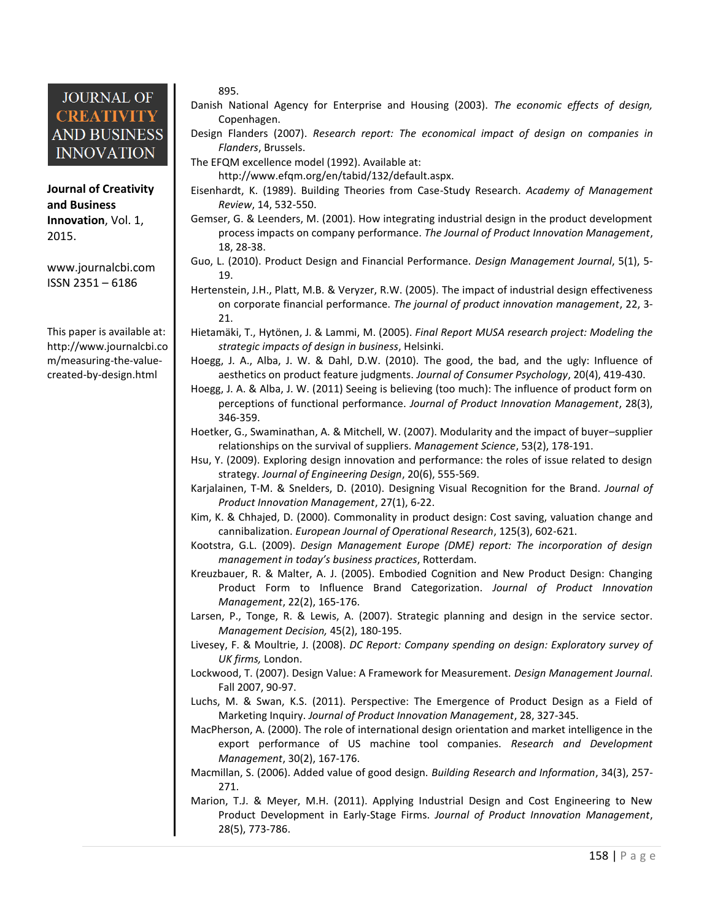**Journal of Creativity and Business Innovation**, Vol. 1, 2015.

[www.journalcbi.com](http://www.journalcbi.com/) ISSN 2351 – 6186

This paper is available at: [http://www.journalcbi.co](http://www.journalcbi.com/ideation-using-analogies.html) [m/measuring-the-value](http://www.journalcbi.com/ideation-using-analogies.html)[created-by-design.html](http://www.journalcbi.com/ideation-using-analogies.html) 

#### 895.

- Danish National Agency for Enterprise and Housing (2003). *The economic effects of design,* Copenhagen.
- Design Flanders (2007). *Research report: The economical impact of design on companies in Flanders*, Brussels.
- The EFQM excellence model (1992). Available at:

http://www.efqm.org/en/tabid/132/default.aspx.

- Eisenhardt, K. (1989). Building Theories from Case-Study Research. *Academy of Management Review*, 14, 532-550.
- Gemser, G. & Leenders, M. (2001). How integrating industrial design in the product development process impacts on company performance. *The Journal of Product Innovation Management*, 18, 28-38.
- Guo, L. (2010). Product Design and Financial Performance. *Design Management Journal*, 5(1), 5- 19.
- Hertenstein, J.H., Platt, M.B. & Veryzer, R.W. (2005). The impact of industrial design effectiveness on corporate financial performance. *The journal of product innovation management*, 22, 3- 21.
- Hietamäki, T., Hytönen, J. & Lammi, M. (2005). *Final Report MUSA research project: Modeling the strategic impacts of design in business*, Helsinki.
- Hoegg, J. A., Alba, J. W. & Dahl, D.W. (2010). The good, the bad, and the ugly: Influence of aesthetics on product feature judgments. *Journal of Consumer Psychology*, 20(4), 419-430.
- Hoegg, J. A. & Alba, J. W. (2011) Seeing is believing (too much): The influence of product form on perceptions of functional performance. *Journal of Product Innovation Management*, 28(3), 346-359.
- Hoetker, G., Swaminathan, A. & Mitchell, W. (2007). Modularity and the impact of buyer–supplier relationships on the survival of suppliers. *Management Science*, 53(2), 178-191.
- Hsu, Y. (2009). Exploring design innovation and performance: the roles of issue related to design strategy. *Journal of Engineering Design*, 20(6), 555-569.
- Karjalainen, T-M. & Snelders, D. (2010). Designing Visual Recognition for the Brand. *Journal of Product Innovation Management*, 27(1), 6-22.
- Kim, K. & Chhajed, D. (2000). Commonality in product design: Cost saving, valuation change and cannibalization. *European Journal of Operational Research*, 125(3), 602-621.
- Kootstra, G.L. (2009). *Design Management Europe (DME) report: The incorporation of design management in today's business practices*, Rotterdam.
- Kreuzbauer, R. & Malter, A. J. (2005). Embodied Cognition and New Product Design: Changing Product Form to Influence Brand Categorization. *Journal of Product Innovation Management*, 22(2), 165-176.
- Larsen, P., Tonge, R. & Lewis, A. (2007). Strategic planning and design in the service sector. *Management Decision,* 45(2), 180-195.
- Livesey, F. & Moultrie, J. (2008). *DC Report: Company spending on design: Exploratory survey of UK firms,* London.
- Lockwood, T. (2007). Design Value: A Framework for Measurement. *Design Management Journal*. Fall 2007, 90-97.
- Luchs, M. & Swan, K.S. (2011). Perspective: The Emergence of Product Design as a Field of Marketing Inquiry. *Journal of Product Innovation Management*, 28, 327-345.
- MacPherson, A. (2000). The role of international design orientation and market intelligence in the export performance of US machine tool companies. *Research and Development Management*, 30(2), 167-176.
- Macmillan, S. (2006). Added value of good design. *Building Research and Information*, 34(3), 257- 271.
- Marion, T.J. & Meyer, M.H. (2011). Applying Industrial Design and Cost Engineering to New Product Development in Early-Stage Firms. *Journal of Product Innovation Management*, 28(5), 773-786.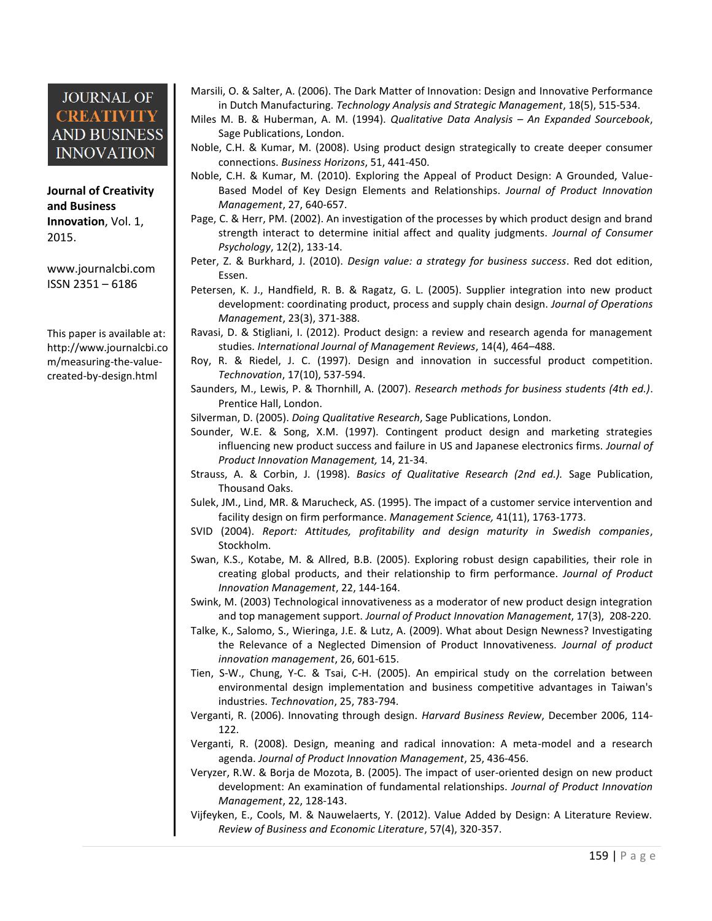**Journal of Creativity and Business Innovation**, Vol. 1, 2015.

[www.journalcbi.com](http://www.journalcbi.com/) ISSN 2351 – 6186

This paper is available at: [http://www.journalcbi.co](http://www.journalcbi.com/ideation-using-analogies.html) [m/measuring-the-value](http://www.journalcbi.com/ideation-using-analogies.html)[created-by-design.html](http://www.journalcbi.com/ideation-using-analogies.html) 

Marsili, O. & Salter, A. (2006). The Dark Matter of Innovation: Design and Innovative Performance in Dutch Manufacturing. *Technology Analysis and Strategic Management*, 18(5), 515-534.

Miles M. B. & Huberman, A. M. (1994). *Qualitative Data Analysis – An Expanded Sourcebook*, Sage Publications, London.

- Noble, C.H. & Kumar, M. (2008). Using product design strategically to create deeper consumer connections. *Business Horizons*, 51, 441-450.
- Noble, C.H. & Kumar, M. (2010). Exploring the Appeal of Product Design: A Grounded, Value-Based Model of Key Design Elements and Relationships. *Journal of Product Innovation Management*, 27, 640-657.
- Page, C. & Herr, PM. (2002). An investigation of the processes by which product design and brand strength interact to determine initial affect and quality judgments. *Journal of Consumer Psychology*, 12(2), 133-14.
- Peter, Z. & Burkhard, J. (2010). *Design value: a strategy for business success*. Red dot edition, Essen.
- Petersen, K. J., Handfield, R. B. & Ragatz, G. L. (2005). Supplier integration into new product development: coordinating product, process and supply chain design. *Journal of Operations Management*, 23(3), 371-388.
- Ravasi, D. & Stigliani, I. (2012). Product design: a review and research agenda for management studies. *International Journal of Management Reviews*, 14(4), 464–488.
- Roy, R. & Riedel, J. C. (1997). Design and innovation in successful product competition. *Technovation*, 17(10), 537-594.
- Saunders, M., Lewis, P. & Thornhill, A. (2007). *Research methods for business students (4th ed.)*. Prentice Hall, London.
- Silverman, D. (2005). *Doing Qualitative Research*, Sage Publications, London.
- Sounder, W.E. & Song, X.M. (1997). Contingent product design and marketing strategies influencing new product success and failure in US and Japanese electronics firms. *Journal of Product Innovation Management,* 14, 21-34.
- Strauss, A. & Corbin, J. (1998). *Basics of Qualitative Research (2nd ed.).* Sage Publication, Thousand Oaks.
- Sulek, JM., Lind, MR. & Marucheck, AS. (1995). The impact of a customer service intervention and facility design on firm performance. *Management Science,* 41(11), 1763-1773.
- SVID (2004). *Report: Attitudes, profitability and design maturity in Swedish companies*, Stockholm.
- Swan, K.S., Kotabe, M. & Allred, B.B. (2005). Exploring robust design capabilities, their role in creating global products, and their relationship to firm performance. *Journal of Product Innovation Management*, 22, 144-164.
- Swink, M. (2003) Technological innovativeness as a moderator of new product design integration and top management support. *Journal of Product Innovation Management*, 17(3), 208-220.
- Talke, K., Salomo, S., Wieringa, J.E. & Lutz, A. (2009). What about Design Newness? Investigating the Relevance of a Neglected Dimension of Product Innovativeness. *Journal of product innovation management*, 26, 601-615.
- Tien, S-W., Chung, Y-C. & Tsai, C-H. (2005). An empirical study on the correlation between environmental design implementation and business competitive advantages in Taiwan's industries. *Technovation*, 25, 783-794.
- Verganti, R. (2006). Innovating through design. *Harvard Business Review*, December 2006, 114- 122.
- Verganti, R. (2008). Design, meaning and radical innovation: A meta-model and a research agenda. *Journal of Product Innovation Management*, 25, 436-456.
- Veryzer, R.W. & Borja de Mozota, B. (2005). The impact of user-oriented design on new product development: An examination of fundamental relationships. *Journal of Product Innovation Management*, 22, 128-143.
- Vijfeyken, E., Cools, M. & Nauwelaerts, Y. (2012). Value Added by Design: A Literature Review. *Review of Business and Economic Literature*, 57(4), 320-357.